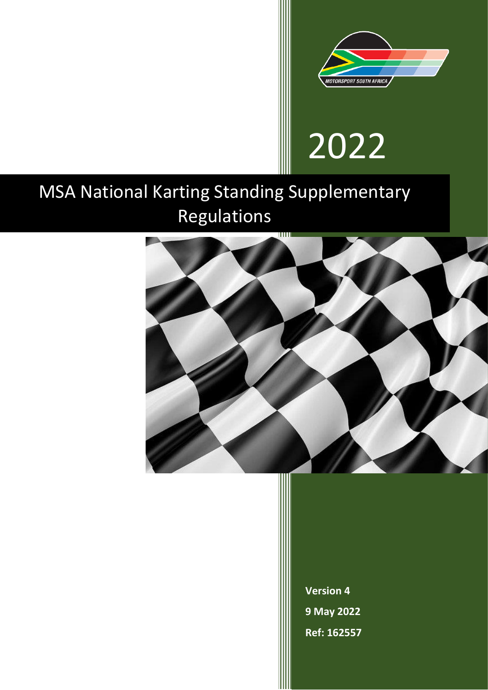

# 2022

## MSA National Karting Standing Supplementary Regulations



**Version 4 9 May 2022 Ref: 162557**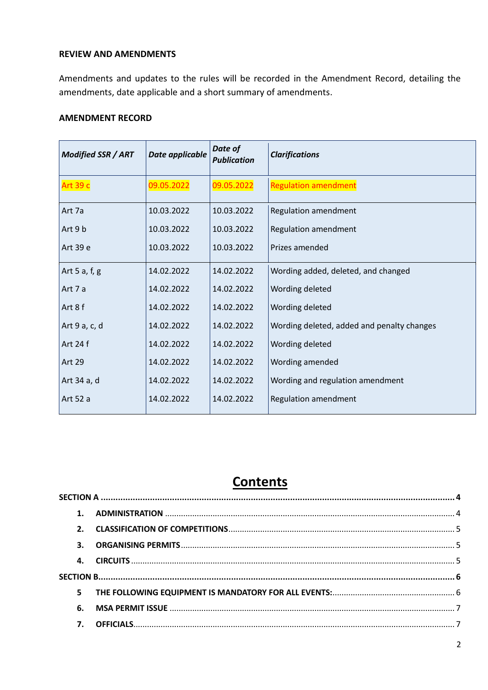#### **REVIEW AND AMENDMENTS**

Amendments and updates to the rules will be recorded in the Amendment Record, detailing the amendments, date applicable and a short summary of amendments.

#### **AMENDMENT RECORD**

| <b>Modified SSR / ART</b> | Date applicable | Date of<br><b>Publication</b> | <b>Clarifications</b>                      |
|---------------------------|-----------------|-------------------------------|--------------------------------------------|
| <b>Art 39 c</b>           | 09.05.2022      | 09.05.2022                    | <b>Regulation amendment</b>                |
| Art 7a                    | 10.03.2022      | 10.03.2022                    | <b>Regulation amendment</b>                |
| Art 9 b                   | 10.03.2022      | 10.03.2022                    | Regulation amendment                       |
| Art 39 e                  | 10.03.2022      | 10.03.2022                    | Prizes amended                             |
| Art $5a, f, g$            | 14.02.2022      | 14.02.2022                    | Wording added, deleted, and changed        |
| Art 7 a                   | 14.02.2022      | 14.02.2022                    | Wording deleted                            |
| Art 8 f                   | 14.02.2022      | 14.02.2022                    | Wording deleted                            |
| Art 9 a, c, d             | 14.02.2022      | 14.02.2022                    | Wording deleted, added and penalty changes |
| Art 24 f                  | 14.02.2022      | 14.02.2022                    | Wording deleted                            |
| <b>Art 29</b>             | 14.02.2022      | 14.02.2022                    | Wording amended                            |
| Art 34 a, d               | 14.02.2022      | 14.02.2022                    | Wording and regulation amendment           |
| Art 52 a                  | 14.02.2022      | 14.02.2022                    | Regulation amendment                       |

## **Contents**

| 1. |  |
|----|--|
|    |  |
| 3. |  |
|    |  |
|    |  |
| 5  |  |
| 6. |  |
| 7. |  |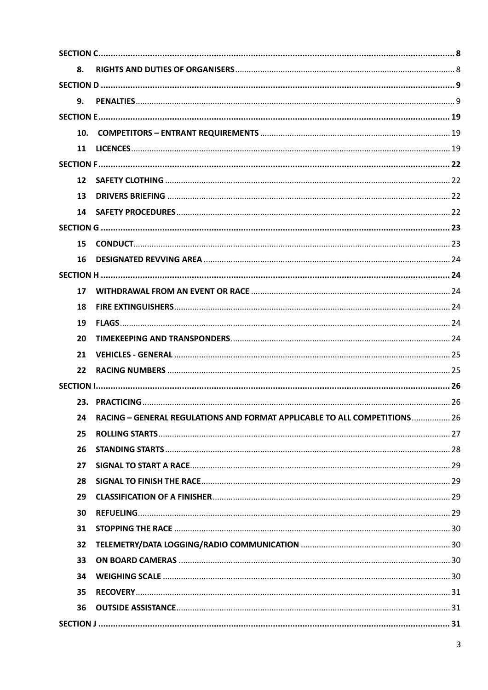| 8.  |                                                                           |  |
|-----|---------------------------------------------------------------------------|--|
|     |                                                                           |  |
| 9.  |                                                                           |  |
|     |                                                                           |  |
| 10. |                                                                           |  |
| 11  |                                                                           |  |
|     |                                                                           |  |
| 12  |                                                                           |  |
| 13  |                                                                           |  |
| 14  |                                                                           |  |
|     |                                                                           |  |
| 15  |                                                                           |  |
| 16  |                                                                           |  |
|     |                                                                           |  |
| 17  |                                                                           |  |
| 18  |                                                                           |  |
| 19  |                                                                           |  |
| 20  |                                                                           |  |
| 21  |                                                                           |  |
| 22  |                                                                           |  |
|     |                                                                           |  |
|     |                                                                           |  |
| 24  | RACING - GENERAL REGULATIONS AND FORMAT APPLICABLE TO ALL COMPETITIONS 26 |  |
| 25  |                                                                           |  |
| 26  |                                                                           |  |
| 27  |                                                                           |  |
| 28  |                                                                           |  |
| 29  |                                                                           |  |
| 30  |                                                                           |  |
| 31  |                                                                           |  |
| 32  |                                                                           |  |
| 33  |                                                                           |  |
| 34  |                                                                           |  |
| 35  |                                                                           |  |
| 36  |                                                                           |  |
|     |                                                                           |  |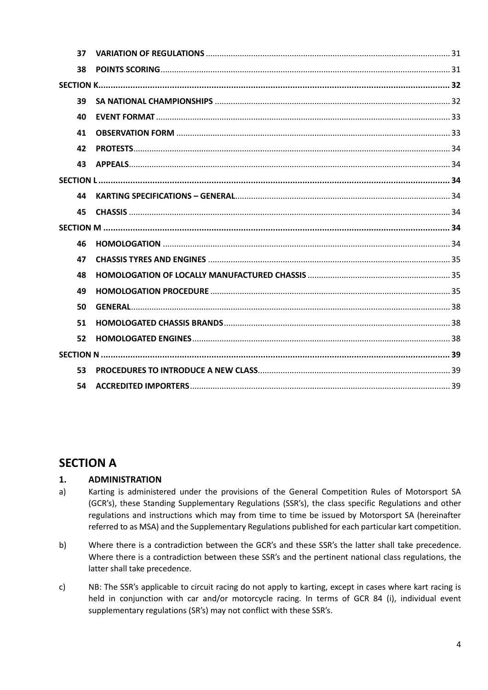| 37 |  |
|----|--|
| 38 |  |
|    |  |
| 39 |  |
| 40 |  |
| 41 |  |
| 42 |  |
| 43 |  |
|    |  |
| 44 |  |
| 45 |  |
|    |  |
| 46 |  |
| 47 |  |
| 48 |  |
|    |  |
| 49 |  |
| 50 |  |
| 51 |  |
| 52 |  |
|    |  |
| 53 |  |

## <span id="page-3-0"></span>**SECTION A**

#### <span id="page-3-1"></span>**1. ADMINISTRATION**

- a) Karting is administered under the provisions of the General Competition Rules of Motorsport SA (GCR's), these Standing Supplementary Regulations (SSR's), the class specific Regulations and other regulations and instructions which may from time to time be issued by Motorsport SA (hereinafter referred to as MSA) and the Supplementary Regulations published for each particular kart competition.
- b) Where there is a contradiction between the GCR's and these SSR's the latter shall take precedence. Where there is a contradiction between these SSR's and the pertinent national class regulations, the latter shall take precedence.
- c) NB: The SSR's applicable to circuit racing do not apply to karting, except in cases where kart racing is held in conjunction with car and/or motorcycle racing. In terms of GCR 84 (i), individual event supplementary regulations (SR's) may not conflict with these SSR's.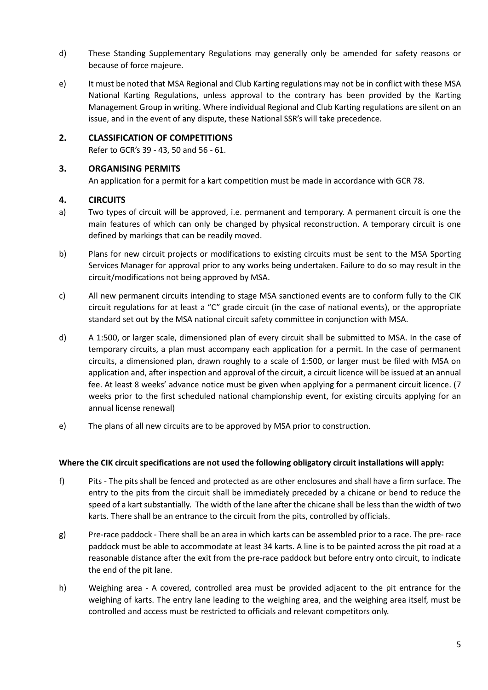- d) These Standing Supplementary Regulations may generally only be amended for safety reasons or because of force majeure.
- e) It must be noted that MSA Regional and Club Karting regulations may not be in conflict with these MSA National Karting Regulations, unless approval to the contrary has been provided by the Karting Management Group in writing. Where individual Regional and Club Karting regulations are silent on an issue, and in the event of any dispute, these National SSR's will take precedence.

#### <span id="page-4-0"></span>**2. CLASSIFICATION OF COMPETITIONS**

Refer to GCR's 39 - 43, 50 and 56 - 61.

#### <span id="page-4-1"></span>**3. ORGANISING PERMITS**

An application for a permit for a kart competition must be made in accordance with GCR 78.

#### <span id="page-4-2"></span>**4. CIRCUITS**

- a) Two types of circuit will be approved, i.e. permanent and temporary. A permanent circuit is one the main features of which can only be changed by physical reconstruction. A temporary circuit is one defined by markings that can be readily moved.
- b) Plans for new circuit projects or modifications to existing circuits must be sent to the MSA Sporting Services Manager for approval prior to any works being undertaken. Failure to do so may result in the circuit/modifications not being approved by MSA.
- c) All new permanent circuits intending to stage MSA sanctioned events are to conform fully to the CIK circuit regulations for at least a "C" grade circuit (in the case of national events), or the appropriate standard set out by the MSA national circuit safety committee in conjunction with MSA.
- d) A 1:500, or larger scale, dimensioned plan of every circuit shall be submitted to MSA. In the case of temporary circuits, a plan must accompany each application for a permit. In the case of permanent circuits, a dimensioned plan, drawn roughly to a scale of 1:500, or larger must be filed with MSA on application and, after inspection and approval of the circuit, a circuit licence will be issued at an annual fee. At least 8 weeks' advance notice must be given when applying for a permanent circuit licence. (7 weeks prior to the first scheduled national championship event, for existing circuits applying for an annual license renewal)
- e) The plans of all new circuits are to be approved by MSA prior to construction.

#### **Where the CIK circuit specifications are not used the following obligatory circuit installations will apply:**

- f) Pits The pits shall be fenced and protected as are other enclosures and shall have a firm surface. The entry to the pits from the circuit shall be immediately preceded by a chicane or bend to reduce the speed of a kart substantially. The width of the lane after the chicane shall be less than the width of two karts. There shall be an entrance to the circuit from the pits, controlled by officials.
- g) Pre-race paddock There shall be an area in which karts can be assembled prior to a race. The pre- race paddock must be able to accommodate at least 34 karts. A line is to be painted across the pit road at a reasonable distance after the exit from the pre-race paddock but before entry onto circuit, to indicate the end of the pit lane.
- h) Weighing area A covered, controlled area must be provided adjacent to the pit entrance for the weighing of karts. The entry lane leading to the weighing area, and the weighing area itself, must be controlled and access must be restricted to officials and relevant competitors only.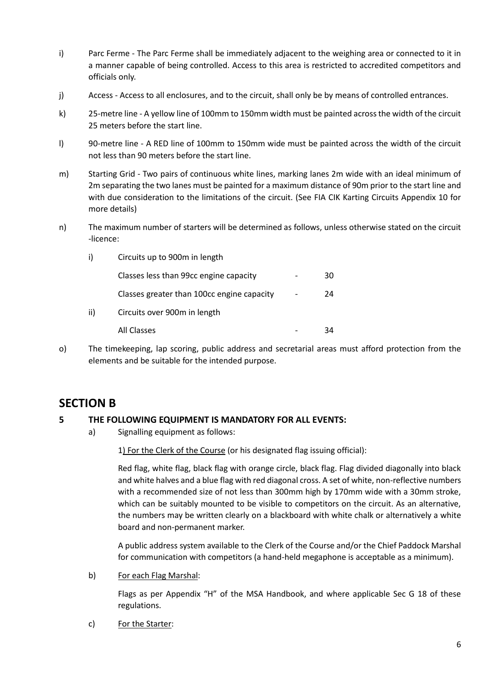- i) Parc Ferme The Parc Ferme shall be immediately adjacent to the weighing area or connected to it in a manner capable of being controlled. Access to this area is restricted to accredited competitors and officials only.
- j) Access Access to all enclosures, and to the circuit, shall only be by means of controlled entrances.
- k) 25-metre line A yellow line of 100mm to 150mm width must be painted across the width of the circuit 25 meters before the start line.
- l) 90-metre line A RED line of 100mm to 150mm wide must be painted across the width of the circuit not less than 90 meters before the start line.
- m) Starting Grid Two pairs of continuous white lines, marking lanes 2m wide with an ideal minimum of 2m separating the two lanes must be painted for a maximum distance of 90m prior to the start line and with due consideration to the limitations of the circuit. (See FIA CIK Karting Circuits Appendix 10 for more details)
- n) The maximum number of starters will be determined as follows, unless otherwise stated on the circuit -licence:

| i)  | Circuits up to 900m in length              |    |
|-----|--------------------------------------------|----|
|     | Classes less than 99cc engine capacity     | 30 |
|     | Classes greater than 100cc engine capacity | 24 |
| ii) | Circuits over 900m in length               |    |
|     | All Classes                                |    |

o) The timekeeping, lap scoring, public address and secretarial areas must afford protection from the elements and be suitable for the intended purpose.

## <span id="page-5-0"></span>**SECTION B**

#### <span id="page-5-1"></span>**5 THE FOLLOWING EQUIPMENT IS MANDATORY FOR ALL EVENTS:**

a) Signalling equipment as follows:

1) For the Clerk of the Course (or his designated flag issuing official):

Red flag, white flag, black flag with orange circle, black flag. Flag divided diagonally into black and white halves and a blue flag with red diagonal cross. A set of white, non-reflective numbers with a recommended size of not less than 300mm high by 170mm wide with a 30mm stroke, which can be suitably mounted to be visible to competitors on the circuit. As an alternative, the numbers may be written clearly on a blackboard with white chalk or alternatively a white board and non-permanent marker.

A public address system available to the Clerk of the Course and/or the Chief Paddock Marshal for communication with competitors (a hand-held megaphone is acceptable as a minimum).

b) For each Flag Marshal:

Flags as per Appendix "H" of the MSA Handbook, and where applicable Sec G 18 of these regulations.

c) For the Starter: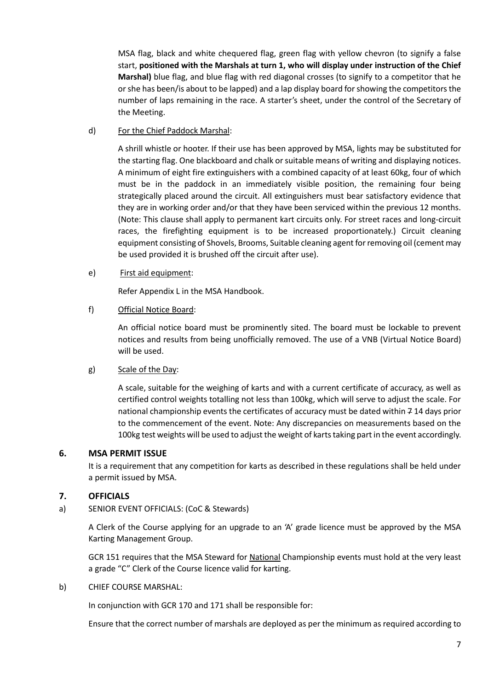MSA flag, black and white chequered flag, green flag with yellow chevron (to signify a false start, **positioned with the Marshals at turn 1, who will display under instruction of the Chief Marshal)** blue flag, and blue flag with red diagonal crosses (to signify to a competitor that he or she has been/is about to be lapped) and a lap display board for showing the competitors the number of laps remaining in the race. A starter's sheet, under the control of the Secretary of the Meeting.

#### d) For the Chief Paddock Marshal:

A shrill whistle or hooter. If their use has been approved by MSA, lights may be substituted for the starting flag. One blackboard and chalk or suitable means of writing and displaying notices. A minimum of eight fire extinguishers with a combined capacity of at least 60kg, four of which must be in the paddock in an immediately visible position, the remaining four being strategically placed around the circuit. All extinguishers must bear satisfactory evidence that they are in working order and/or that they have been serviced within the previous 12 months. (Note: This clause shall apply to permanent kart circuits only. For street races and long-circuit races, the firefighting equipment is to be increased proportionately.) Circuit cleaning equipment consisting of Shovels, Brooms, Suitable cleaning agent for removing oil (cement may be used provided it is brushed off the circuit after use).

#### e) First aid equipment:

Refer Appendix L in the MSA Handbook.

#### f) Official Notice Board:

An official notice board must be prominently sited. The board must be lockable to prevent notices and results from being unofficially removed. The use of a VNB (Virtual Notice Board) will be used.

#### g) Scale of the Day:

A scale, suitable for the weighing of karts and with a current certificate of accuracy, as well as certified control weights totalling not less than 100kg, which will serve to adjust the scale. For national championship events the certificates of accuracy must be dated within 7 14 days prior to the commencement of the event. Note: Any discrepancies on measurements based on the 100kg test weights will be used to adjust the weight of karts taking part in the event accordingly.

#### <span id="page-6-0"></span>**6. MSA PERMIT ISSUE**

It is a requirement that any competition for karts as described in these regulations shall be held under a permit issued by MSA.

#### <span id="page-6-1"></span>**7. OFFICIALS**

a) SENIOR EVENT OFFICIALS: (CoC & Stewards)

A Clerk of the Course applying for an upgrade to an 'A' grade licence must be approved by the MSA Karting Management Group.

GCR 151 requires that the MSA Steward for National Championship events must hold at the very least a grade "C" Clerk of the Course licence valid for karting.

#### b) CHIEF COURSE MARSHAL:

In conjunction with GCR 170 and 171 shall be responsible for:

Ensure that the correct number of marshals are deployed as per the minimum as required according to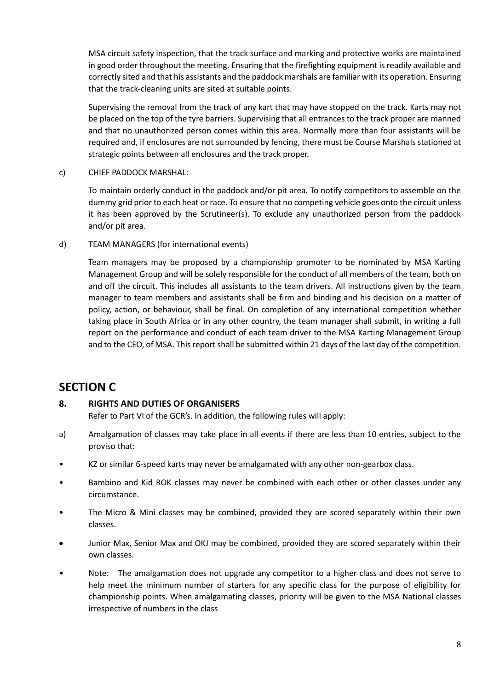MSA circuit safety inspection, that the track surface and marking and protective works are maintained in good order throughout the meeting. Ensuring that the firefighting equipment is readily available and correctly sited and that his assistants and the paddock marshals are familiar with its operation. Ensuring that the track-cleaning units are sited at suitable points.

Supervising the removal from the track of any kart that may have stopped on the track. Karts may not be placed on the top of the tyre barriers. Supervising that all entrances to the track proper are manned and that no unauthorized person comes within this area. Normally more than four assistants will be required and, if enclosures are not surrounded by fencing, there must be Course Marshals stationed at strategic points between all enclosures and the track proper.

c) CHIEF PADDOCK MARSHAL:

To maintain orderly conduct in the paddock and/or pit area. To notify competitors to assemble on the dummy grid prior to each heat or race. To ensure that no competing vehicle goes onto the circuit unless it has been approved by the Scrutineer(s). To exclude any unauthorized person from the paddock and/or pit area.

d) TEAM MANAGERS (for international events)

Team managers may be proposed by a championship promoter to be nominated by MSA Karting Management Group and will be solely responsible for the conduct of all members of the team, both on and off the circuit. This includes all assistants to the team drivers. All instructions given by the team manager to team members and assistants shall be firm and binding and his decision on a matter of policy, action, or behaviour, shall be final. On completion of any international competition whether taking place in South Africa or in any other country, the team manager shall submit, in writing a full report on the performance and conduct of each team driver to the MSA Karting Management Group and to the CEO, of MSA. This report shall be submitted within 21 days of the last day of the competition.

## <span id="page-7-0"></span>**SECTION C**

#### <span id="page-7-1"></span>**8. RIGHTS AND DUTIES OF ORGANISERS**

Refer to Part VI of the GCR's. In addition, the following rules will apply:

- a) Amalgamation of classes may take place in all events if there are less than 10 entries, subject to the proviso that:
- KZ or similar 6-speed karts may never be amalgamated with any other non-gearbox class.
- Bambino and Kid ROK classes may never be combined with each other or other classes under any circumstance.
- The Micro & Mini classes may be combined, provided they are scored separately within their own classes.
- Junior Max, Senior Max and OKJ may be combined, provided they are scored separately within their own classes.
- Note: The amalgamation does not upgrade any competitor to a higher class and does not serve to help meet the minimum number of starters for any specific class for the purpose of eligibility for championship points. When amalgamating classes, priority will be given to the MSA National classes irrespective of numbers in the class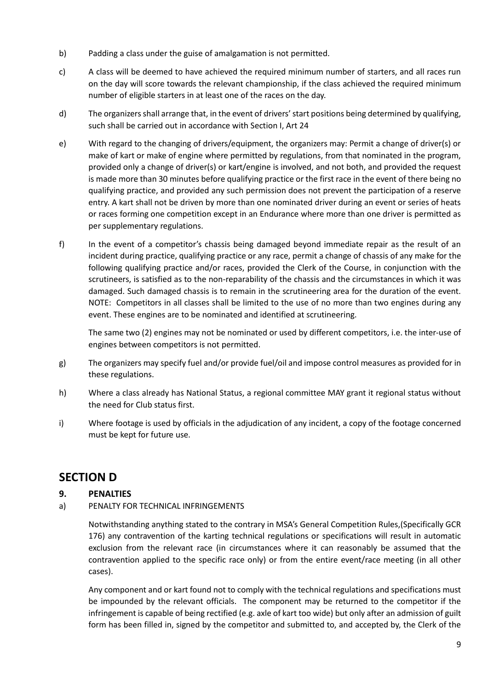- b) Padding a class under the guise of amalgamation is not permitted.
- c) A class will be deemed to have achieved the required minimum number of starters, and all races run on the day will score towards the relevant championship, if the class achieved the required minimum number of eligible starters in at least one of the races on the day.
- d) The organizers shall arrange that, in the event of drivers' start positions being determined by qualifying, such shall be carried out in accordance with Section I, Art 24
- e) With regard to the changing of drivers/equipment, the organizers may: Permit a change of driver(s) or make of kart or make of engine where permitted by regulations, from that nominated in the program, provided only a change of driver(s) or kart/engine is involved, and not both, and provided the request is made more than 30 minutes before qualifying practice or the first race in the event of there being no qualifying practice, and provided any such permission does not prevent the participation of a reserve entry. A kart shall not be driven by more than one nominated driver during an event or series of heats or races forming one competition except in an Endurance where more than one driver is permitted as per supplementary regulations.
- f) In the event of a competitor's chassis being damaged beyond immediate repair as the result of an incident during practice, qualifying practice or any race, permit a change of chassis of any make for the following qualifying practice and/or races, provided the Clerk of the Course, in conjunction with the scrutineers, is satisfied as to the non-reparability of the chassis and the circumstances in which it was damaged. Such damaged chassis is to remain in the scrutineering area for the duration of the event. NOTE: Competitors in all classes shall be limited to the use of no more than two engines during any event. These engines are to be nominated and identified at scrutineering.

The same two (2) engines may not be nominated or used by different competitors, i.e. the inter-use of engines between competitors is not permitted.

- g) The organizers may specify fuel and/or provide fuel/oil and impose control measures as provided for in these regulations.
- h) Where a class already has National Status, a regional committee MAY grant it regional status without the need for Club status first.
- i) Where footage is used by officials in the adjudication of any incident, a copy of the footage concerned must be kept for future use.

## <span id="page-8-0"></span>**SECTION D**

#### <span id="page-8-1"></span>**9. PENALTIES**

a) PENALTY FOR TECHNICAL INFRINGEMENTS

Notwithstanding anything stated to the contrary in MSA's General Competition Rules,(Specifically GCR 176) any contravention of the karting technical regulations or specifications will result in automatic exclusion from the relevant race (in circumstances where it can reasonably be assumed that the contravention applied to the specific race only) or from the entire event/race meeting (in all other cases).

Any component and or kart found not to comply with the technical regulations and specifications must be impounded by the relevant officials. The component may be returned to the competitor if the infringement is capable of being rectified (e.g. axle of kart too wide) but only after an admission of guilt form has been filled in, signed by the competitor and submitted to, and accepted by, the Clerk of the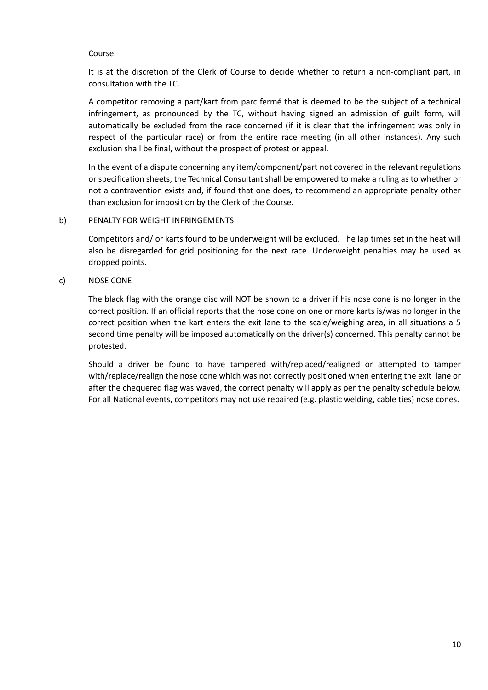#### Course.

It is at the discretion of the Clerk of Course to decide whether to return a non-compliant part, in consultation with the TC.

A competitor removing a part/kart from parc fermé that is deemed to be the subject of a technical infringement, as pronounced by the TC, without having signed an admission of guilt form, will automatically be excluded from the race concerned (if it is clear that the infringement was only in respect of the particular race) or from the entire race meeting (in all other instances). Any such exclusion shall be final, without the prospect of protest or appeal.

In the event of a dispute concerning any item/component/part not covered in the relevant regulations or specification sheets, the Technical Consultant shall be empowered to make a ruling as to whether or not a contravention exists and, if found that one does, to recommend an appropriate penalty other than exclusion for imposition by the Clerk of the Course.

#### b) PENALTY FOR WEIGHT INFRINGEMENTS

Competitors and/ or karts found to be underweight will be excluded. The lap times set in the heat will also be disregarded for grid positioning for the next race. Underweight penalties may be used as dropped points.

#### c) NOSE CONE

The black flag with the orange disc will NOT be shown to a driver if his nose cone is no longer in the correct position. If an official reports that the nose cone on one or more karts is/was no longer in the correct position when the kart enters the exit lane to the scale/weighing area, in all situations a 5 second time penalty will be imposed automatically on the driver(s) concerned. This penalty cannot be protested.

Should a driver be found to have tampered with/replaced/realigned or attempted to tamper with/replace/realign the nose cone which was not correctly positioned when entering the exit lane or after the chequered flag was waved, the correct penalty will apply as per the penalty schedule below. For all National events, competitors may not use repaired (e.g. plastic welding, cable ties) nose cones.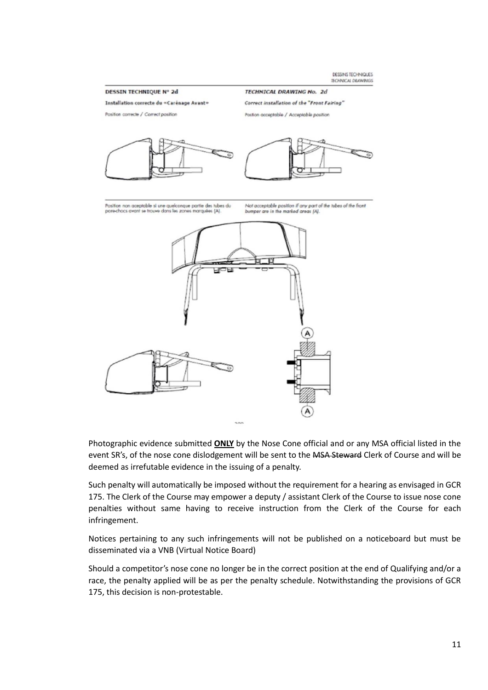#### **DESSIN TECHNIQUE Nº 2d**

Installation correcte du «Carénage Avant»

TECHNICAL DRAWING No. 2d

Correct installation of the "Front Fairing"

Position correcte / Correct position





-<br>Position non aceptable si une quelconque partie des tubes du<br>pare-chocs avant se trouve dans les zones marquées (A).

Not acceptable position if any part of the tubes of the front bumper are in the marked at pas (A)



Photographic evidence submitted **ONLY** by the Nose Cone official and or any MSA official listed in the event SR's, of the nose cone dislodgement will be sent to the MSA Steward Clerk of Course and will be deemed as irrefutable evidence in the issuing of a penalty.

Such penalty will automatically be imposed without the requirement for a hearing as envisaged in GCR 175. The Clerk of the Course may empower a deputy / assistant Clerk of the Course to issue nose cone penalties without same having to receive instruction from the Clerk of the Course for each infringement.

Notices pertaining to any such infringements will not be published on a noticeboard but must be disseminated via a VNB (Virtual Notice Board)

Should a competitor's nose cone no longer be in the correct position at the end of Qualifying and/or a race, the penalty applied will be as per the penalty schedule. Notwithstanding the provisions of GCR 175, this decision is non-protestable.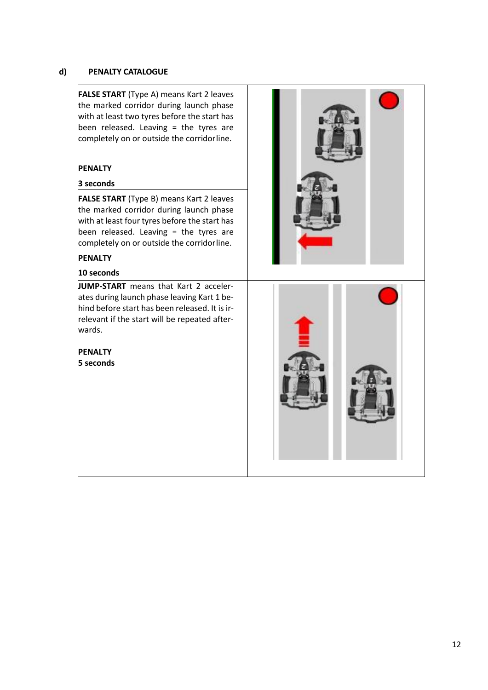#### **d) PENALTY CATALOGUE**

**FALSE START** (Type A) means Kart 2 leaves the marked corridor during launch phase with at least two tyres before the start has been released. Leaving = the tyres are completely on or outside the corridorline.

#### **PENALTY**

#### **3 seconds**

**FALSE START** (Type B) means Kart 2 leaves the marked corridor during launch phase with at least four tyres before the start has been released. Leaving  $=$  the tyres are completely on or outside the corridorline.

#### **PENALTY**

#### **10 seconds**

**JUMP-START** means that Kart 2 accelerates during launch phase leaving Kart 1 behind before start has been released. It is irrelevant if the start will be repeated afterwards.

#### **PENALTY 5 seconds**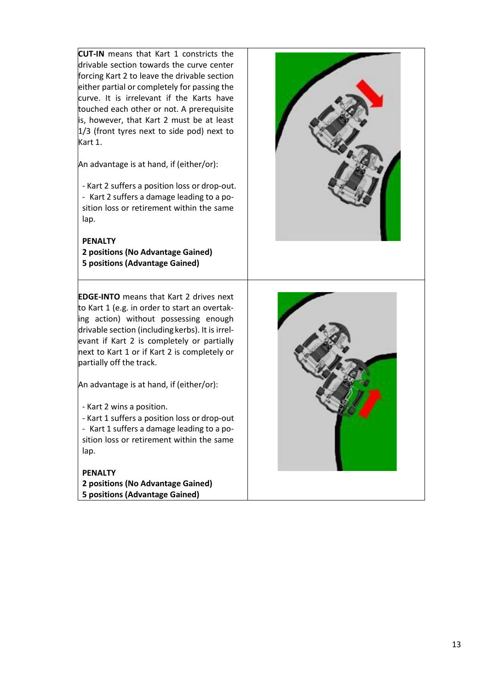**CUT-IN** means that Kart 1 constricts the drivable section towards the curve center forcing Kart 2 to leave the drivable section either partial or completely for passing the curve. It is irrelevant if the Karts have touched each other or not. A prerequisite is, however, that Kart 2 must be at least 1/3 (front tyres next to side pod) next to Kart 1.

An advantage is at hand, if (either/or):

- Kart 2 suffers a position loss or drop-out. - Kart 2 suffers a damage leading to a position loss or retirement within the same lap.

#### **PENALTY**

**2 positions (No Advantage Gained) 5 positions (Advantage Gained)**

**EDGE-INTO** means that Kart 2 drives next to Kart 1 (e.g. in order to start an overtaking action) without possessing enough drivable section (including kerbs). It is irrelevant if Kart 2 is completely or partially next to Kart 1 or if Kart 2 is completely or partially off the track.

An advantage is at hand, if (either/or):

- Kart 2 wins a position.
- Kart 1 suffers a position loss or drop-out
- Kart 1 suffers a damage leading to a position loss or retirement within the same lap.

#### **PENALTY**

**2 positions (No Advantage Gained) 5 positions (Advantage Gained)**



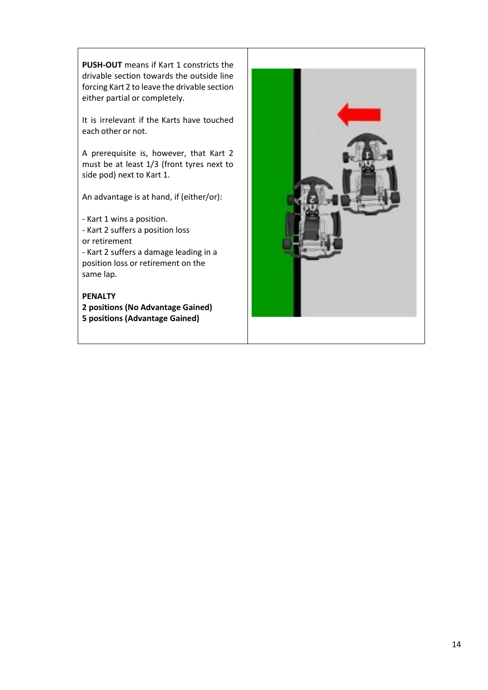**PUSH-OUT** means if Kart 1 constricts the drivable section towards the outside line forcing Kart 2 to leave the drivable section either partial or completely.

It is irrelevant if the Karts have touched each other or not.

A prerequisite is, however, that Kart 2 must be at least 1/3 (front tyres next to side pod) next to Kart 1.

An advantage is at hand, if (either/or):

- Kart 1 wins a position. - Kart 2 suffers a position loss or retirement - Kart 2 suffers a damage leading in a position loss or retirement on the same lap.

#### **PENALTY**

**2 positions (No Advantage Gained) 5 positions (Advantage Gained)**

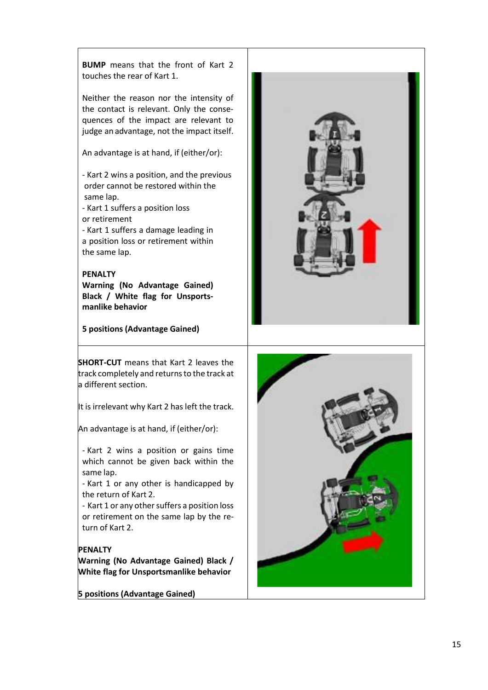**BUMP** means that the front of Kart 2 touches the rear of Kart 1.

Neither the reason nor the intensity of the contact is relevant. Only the consequences of the impact are relevant to judge an advantage, not the impact itself.

An advantage is at hand, if (either/or):

- Kart 2 wins a position, and the previous order cannot be restored within the same lap.

- Kart 1 suffers a position loss or retirement

- Kart 1 suffers a damage leading in a position loss or retirement within the same lap.

#### **PENALTY**

**Warning (No Advantage Gained) Black / White flag for Unsportsmanlike behavior**

 **5 positions (Advantage Gained)**

**SHORT -CUT** means that Kart 2 leaves the track completely and returns to the track at a different section.

It is irrelevant why Kart 2 has left the track.

An advantage is at hand, if (either/or):

- Kart 2 wins a position or gains time which cannot be given back within the same lap.

- Kart 1 or any other is handicapped by the return of Kart 2.

- Kart 1 or any other suffers a position loss or retirement on the same lap by the return of Kart 2.

#### **PENALTY**

**Warning (No Advantage Gained) Black / White flag for Unsportsmanlike behavior**

**5 positions (Advantage Gained)**

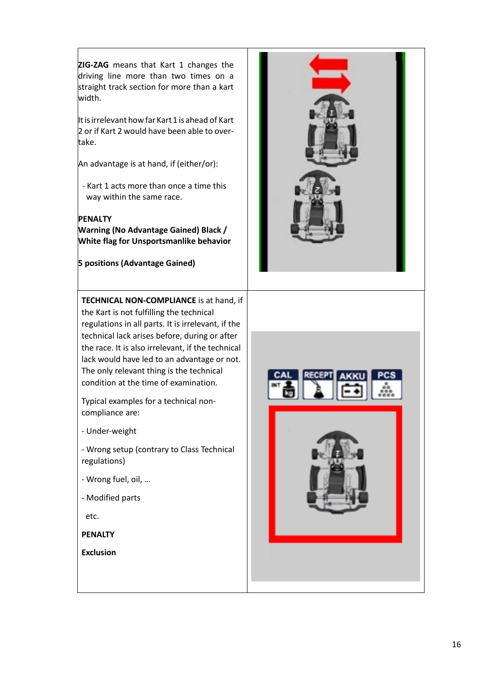**ZIG-ZAG** means that Kart 1 changes the driving line more than two times on a straight track section for more than a kart width.

Itisirrelevant howfar Kart1 is ahead of Kart 2 or if Kart 2 would have been able to overtake.

An advantage is at hand, if (either/or):

- Kart 1 acts more than once a time this way within the same race.

#### **PENALTY**

**Warning (No Advantage Gained) Black / White flag for Unsportsmanlike behavior**

**5 positions (Advantage Gained)**

**TECHNICAL NON-COMPLIANCE** is at hand, if the Kart is not fulfilling the technical regulations in all parts. It is irrelevant, if the technical lack arises before, during or after the race. It is also irrelevant, if the technical lack would have led to an advantage or not. The only relevant thing is the technical condition at the time of examination.

Typical examples for a technical noncompliance are:

- Under-weight

- Wrong setup (contrary to Class Technical regulations)

- Wrong fuel, oil, …
- Modified parts

etc.

**PENALTY** 

**Exclusion**

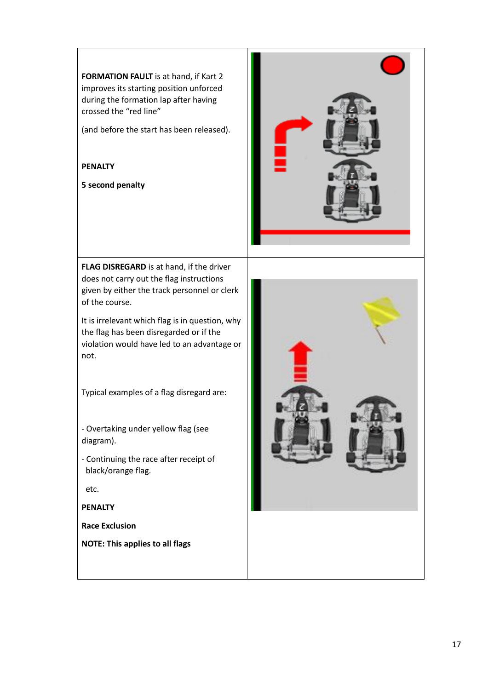**FORMATION FAULT** is at hand, if Kart 2 improves its starting position unforced during the formation lap after having crossed the "red line"

(and before the start has been released).

#### **PENALTY**

**5 second penalty**



**FLAG DISREGARD** is at hand, if the driver does not carry out the flag instructions given by either the track personnel or clerk of the course.

It is irrelevant which flag is in question, why the flag has been disregarded or if the violation would have led to an advantage or not.

Typical examples of a flag disregard are:

- Overtaking under yellow flag (see diagram).

- Continuing the race after receipt of black/orange flag.

etc.

**PENALTY** 

**Race Exclusion** 

**NOTE: This applies to all flags**

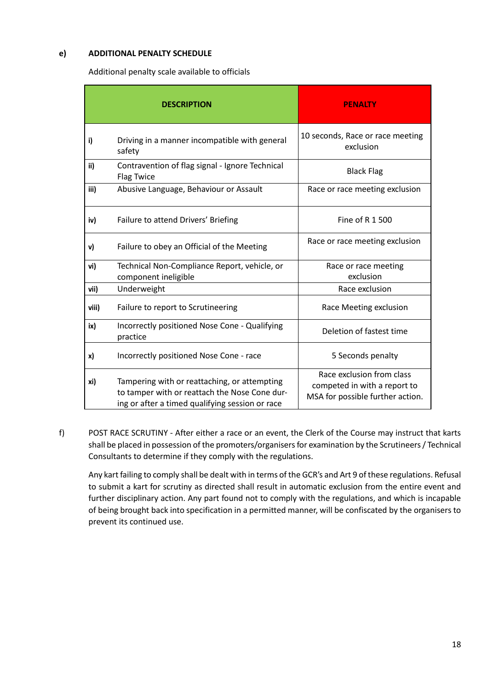#### **e) ADDITIONAL PENALTY SCHEDULE**

Additional penalty scale available to officials

|       | <b>DESCRIPTION</b>                                                                                                                               | <b>PENALTY</b>                                                                                |
|-------|--------------------------------------------------------------------------------------------------------------------------------------------------|-----------------------------------------------------------------------------------------------|
| i)    | Driving in a manner incompatible with general<br>safety                                                                                          | 10 seconds, Race or race meeting<br>exclusion                                                 |
| ii)   | Contravention of flag signal - Ignore Technical<br><b>Flag Twice</b>                                                                             | <b>Black Flag</b>                                                                             |
| iii)  | Abusive Language, Behaviour or Assault                                                                                                           | Race or race meeting exclusion                                                                |
| iv)   | Failure to attend Drivers' Briefing                                                                                                              | Fine of R 1 500                                                                               |
| v)    | Failure to obey an Official of the Meeting                                                                                                       | Race or race meeting exclusion                                                                |
| vi)   | Technical Non-Compliance Report, vehicle, or<br>component ineligible                                                                             | Race or race meeting<br>exclusion                                                             |
| vii)  | Underweight                                                                                                                                      | Race exclusion                                                                                |
| viii) | Failure to report to Scrutineering                                                                                                               | Race Meeting exclusion                                                                        |
| ix)   | Incorrectly positioned Nose Cone - Qualifying<br>practice                                                                                        | Deletion of fastest time                                                                      |
| x)    | Incorrectly positioned Nose Cone - race                                                                                                          | 5 Seconds penalty                                                                             |
| xi)   | Tampering with or reattaching, or attempting<br>to tamper with or reattach the Nose Cone dur-<br>ing or after a timed qualifying session or race | Race exclusion from class<br>competed in with a report to<br>MSA for possible further action. |

f) POST RACE SCRUTINY - After either a race or an event, the Clerk of the Course may instruct that karts shall be placed in possession of the promoters/organisers for examination by the Scrutineers / Technical Consultants to determine if they comply with the regulations.

Any kart failing to comply shall be dealt with in terms of the GCR's and Art 9 of these regulations. Refusal to submit a kart for scrutiny as directed shall result in automatic exclusion from the entire event and further disciplinary action. Any part found not to comply with the regulations, and which is incapable of being brought back into specification in a permitted manner, will be confiscated by the organisers to prevent its continued use.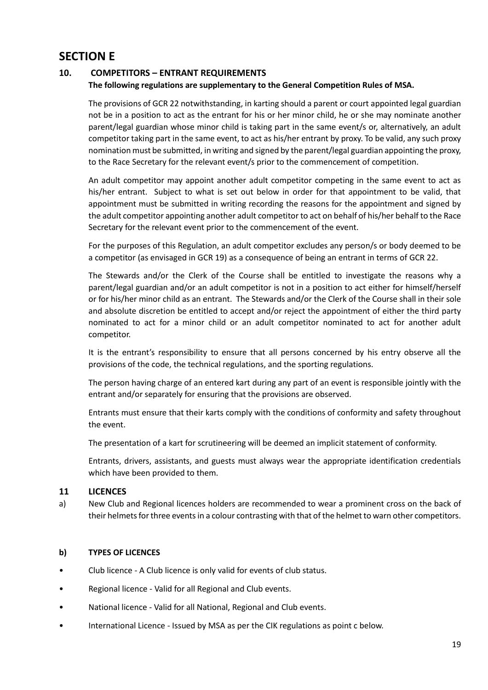## <span id="page-18-0"></span>**SECTION E**

#### <span id="page-18-1"></span>**10. COMPETITORS – ENTRANT REQUIREMENTS**

#### **The following regulations are supplementary to the General Competition Rules of MSA.**

The provisions of GCR 22 notwithstanding, in karting should a parent or court appointed legal guardian not be in a position to act as the entrant for his or her minor child, he or she may nominate another parent/legal guardian whose minor child is taking part in the same event/s or, alternatively, an adult competitor taking part in the same event, to act as his/her entrant by proxy. To be valid, any such proxy nomination must be submitted, in writing and signed by the parent/legal guardian appointing the proxy, to the Race Secretary for the relevant event/s prior to the commencement of competition.

An adult competitor may appoint another adult competitor competing in the same event to act as his/her entrant. Subject to what is set out below in order for that appointment to be valid, that appointment must be submitted in writing recording the reasons for the appointment and signed by the adult competitor appointing another adult competitor to act on behalf of his/her behalf to the Race Secretary for the relevant event prior to the commencement of the event.

For the purposes of this Regulation, an adult competitor excludes any person/s or body deemed to be a competitor (as envisaged in GCR 19) as a consequence of being an entrant in terms of GCR 22.

The Stewards and/or the Clerk of the Course shall be entitled to investigate the reasons why a parent/legal guardian and/or an adult competitor is not in a position to act either for himself/herself or for his/her minor child as an entrant. The Stewards and/or the Clerk of the Course shall in their sole and absolute discretion be entitled to accept and/or reject the appointment of either the third party nominated to act for a minor child or an adult competitor nominated to act for another adult competitor.

It is the entrant's responsibility to ensure that all persons concerned by his entry observe all the provisions of the code, the technical regulations, and the sporting regulations.

The person having charge of an entered kart during any part of an event is responsible jointly with the entrant and/or separately for ensuring that the provisions are observed.

Entrants must ensure that their karts comply with the conditions of conformity and safety throughout the event.

The presentation of a kart for scrutineering will be deemed an implicit statement of conformity.

Entrants, drivers, assistants, and guests must always wear the appropriate identification credentials which have been provided to them.

#### <span id="page-18-2"></span>**11 LICENCES**

a) New Club and Regional licences holders are recommended to wear a prominent cross on the back of their helmets for three events in a colour contrasting with that of the helmet to warn other competitors.

#### **b) TYPES OF LICENCES**

- Club licence A Club licence is only valid for events of club status.
- Regional licence Valid for all Regional and Club events.
- National licence Valid for all National, Regional and Club events.
- International Licence Issued by MSA as per the CIK regulations as point c below.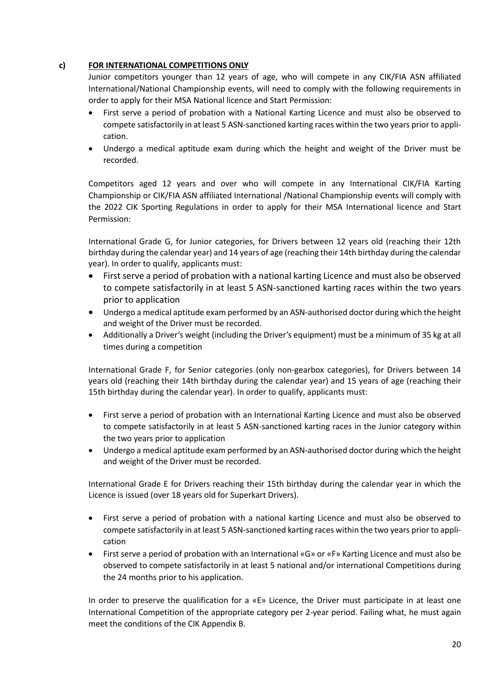#### **c) FOR INTERNATIONAL COMPETITIONS ONLY**

Junior competitors younger than 12 years of age, who will compete in any CIK/FIA ASN affiliated International/National Championship events, will need to comply with the following requirements in order to apply for their MSA National licence and Start Permission:

- First serve a period of probation with a National Karting Licence and must also be observed to compete satisfactorily in at least 5 ASN-sanctioned karting races within the two years prior to application.
- Undergo a medical aptitude exam during which the height and weight of the Driver must be recorded.

Competitors aged 12 years and over who will compete in any International CIK/FIA Karting Championship or CIK/FIA ASN affiliated International /National Championship events will comply with the 2022 CIK Sporting Regulations in order to apply for their MSA International licence and Start Permission:

International Grade G, for Junior categories, for Drivers between 12 years old (reaching their 12th birthday during the calendar year) and 14 years of age (reaching their 14th birthday during the calendar year). In order to qualify, applicants must:

- First serve a period of probation with a national karting Licence and must also be observed to compete satisfactorily in at least 5 ASN-sanctioned karting races within the two years prior to application
- Undergo a medical aptitude exam performed by an ASN-authorised doctor during which the height and weight of the Driver must be recorded.
- Additionally a Driver's weight (including the Driver's equipment) must be a minimum of 35 kg at all times during a competition

International Grade F, for Senior categories (only non-gearbox categories), for Drivers between 14 years old (reaching their 14th birthday during the calendar year) and 15 years of age (reaching their 15th birthday during the calendar year). In order to qualify, applicants must:

- First serve a period of probation with an International Karting Licence and must also be observed to compete satisfactorily in at least 5 ASN-sanctioned karting races in the Junior category within the two years prior to application
- Undergo a medical aptitude exam performed by an ASN-authorised doctor during which the height and weight of the Driver must be recorded.

International Grade E for Drivers reaching their 15th birthday during the calendar year in which the Licence is issued (over 18 years old for Superkart Drivers).

- First serve a period of probation with a national karting Licence and must also be observed to compete satisfactorily in at least 5 ASN-sanctioned karting races within the two years prior to application
- First serve a period of probation with an International «G» or «F» Karting Licence and must also be observed to compete satisfactorily in at least 5 national and/or international Competitions during the 24 months prior to his application.

In order to preserve the qualification for a «E» Licence, the Driver must participate in at least one International Competition of the appropriate category per 2-year period. Failing what, he must again meet the conditions of the CIK Appendix B.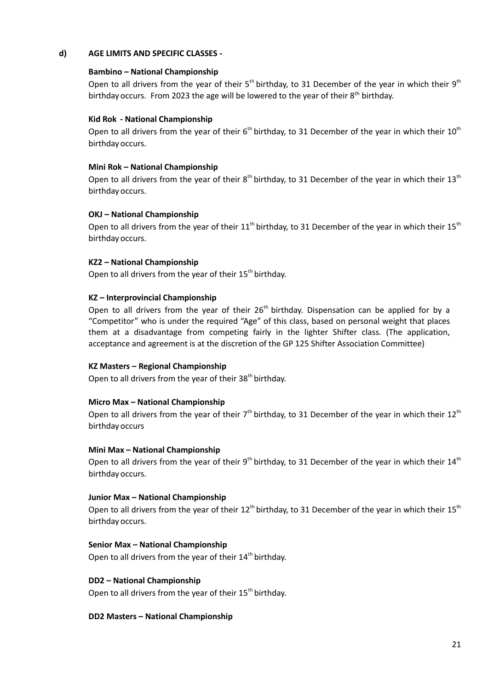#### **d) AGE LIMITS AND SPECIFIC CLASSES -**

#### **Bambino – National Championship**

Open to all drivers from the year of their  $5<sup>th</sup>$  birthday, to 31 December of the year in which their  $9<sup>th</sup>$ birthday occurs. From 2023 the age will be lowered to the year of their  $8<sup>th</sup>$  birthday.

#### **Kid Rok - National Championship**

Open to all drivers from the year of their  $6<sup>th</sup>$  birthday, to 31 December of the year in which their 10<sup>th</sup> birthday occurs.

#### **Mini Rok – National Championship**

Open to all drivers from the year of their  $8<sup>th</sup>$  birthday, to 31 December of the year in which their 13<sup>th</sup> birthday occurs.

#### **OKJ – National Championship**

Open to all drivers from the year of their 11<sup>th</sup> birthday, to 31 December of the year in which their 15<sup>th</sup> birthday occurs.

#### **KZ2 – National Championship**

Open to all drivers from the year of their  $15<sup>th</sup>$  birthday.

#### **KZ – Interprovincial Championship**

Open to all drivers from the year of their  $26<sup>th</sup>$  birthday. Dispensation can be applied for by a "Competitor" who is under the required "Age" of this class, based on personal weight that places them at a disadvantage from competing fairly in the lighter Shifter class. (The application, acceptance and agreement is at the discretion of the GP 125 Shifter Association Committee)

#### **KZ Masters – Regional Championship**

Open to all drivers from the year of their 38<sup>th</sup> birthday.

#### **Micro Max – National Championship**

Open to all drivers from the year of their  $7<sup>th</sup>$  birthday, to 31 December of the year in which their 12<sup>th</sup> birthday occurs

#### **Mini Max – National Championship**

Open to all drivers from the year of their  $9<sup>th</sup>$  birthday, to 31 December of the year in which their 14<sup>th</sup> birthday occurs.

#### **Junior Max – National Championship**

Open to all drivers from the year of their  $12<sup>th</sup>$  birthday, to 31 December of the year in which their  $15<sup>th</sup>$ birthday occurs.

#### **Senior Max – National Championship**

Open to all drivers from the year of their  $14<sup>th</sup>$  birthday.

#### **DD2 – National Championship**

Open to all drivers from the year of their  $15<sup>th</sup>$  birthday.

#### **DD2 Masters – National Championship**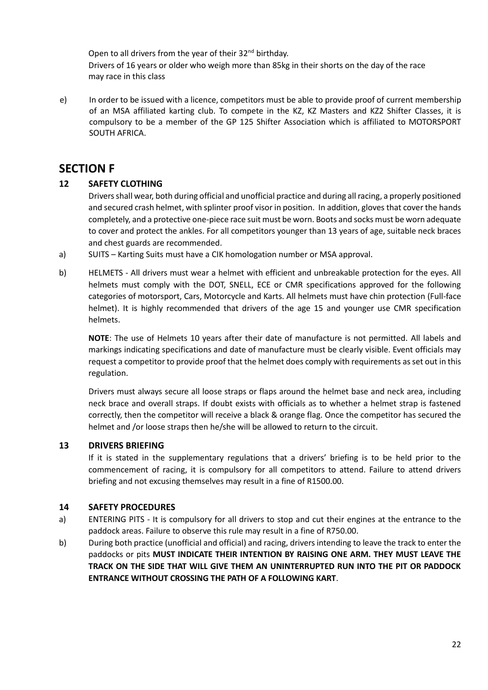Open to all drivers from the year of their 32<sup>nd</sup> birthday. Drivers of 16 years or older who weigh more than 85kg in their shorts on the day of the race may race in this class

e) In order to be issued with a licence, competitors must be able to provide proof of current membership of an MSA affiliated karting club. To compete in the KZ, KZ Masters and KZ2 Shifter Classes, it is compulsory to be a member of the GP 125 Shifter Association which is affiliated to MOTORSPORT SOUTH AFRICA.

## <span id="page-21-0"></span>**SECTION F**

#### <span id="page-21-1"></span>**12 SAFETY CLOTHING**

Drivers shall wear, both during official and unofficial practice and during all racing, a properly positioned and secured crash helmet, with splinter proof visor in position. In addition, gloves that cover the hands completely, and a protective one-piece race suit must be worn. Boots and socks must be worn adequate to cover and protect the ankles. For all competitors younger than 13 years of age, suitable neck braces and chest guards are recommended.

- a) SUITS Karting Suits must have a CIK homologation number or MSA approval.
- b) HELMETS All drivers must wear a helmet with efficient and unbreakable protection for the eyes. All helmets must comply with the DOT, SNELL, ECE or CMR specifications approved for the following categories of motorsport, Cars, Motorcycle and Karts. All helmets must have chin protection (Full-face helmet). It is highly recommended that drivers of the age 15 and younger use CMR specification helmets.

**NOTE**: The use of Helmets 10 years after their date of manufacture is not permitted. All labels and markings indicating specifications and date of manufacture must be clearly visible. Event officials may request a competitor to provide proof that the helmet does comply with requirements as set out in this regulation.

Drivers must always secure all loose straps or flaps around the helmet base and neck area, including neck brace and overall straps. If doubt exists with officials as to whether a helmet strap is fastened correctly, then the competitor will receive a black & orange flag. Once the competitor has secured the helmet and /or loose straps then he/she will be allowed to return to the circuit.

#### <span id="page-21-2"></span>**13 DRIVERS BRIEFING**

If it is stated in the supplementary regulations that a drivers' briefing is to be held prior to the commencement of racing, it is compulsory for all competitors to attend. Failure to attend drivers briefing and not excusing themselves may result in a fine of R1500.00.

#### <span id="page-21-3"></span>**14 SAFETY PROCEDURES**

- a) ENTERING PITS It is compulsory for all drivers to stop and cut their engines at the entrance to the paddock areas. Failure to observe this rule may result in a fine of R750.00.
- b) During both practice (unofficial and official) and racing, drivers intending to leave the track to enter the paddocks or pits **MUST INDICATE THEIR INTENTION BY RAISING ONE ARM. THEY MUST LEAVE THE TRACK ON THE SIDE THAT WILL GIVE THEM AN UNINTERRUPTED RUN INTO THE PIT OR PADDOCK ENTRANCE WITHOUT CROSSING THE PATH OF A FOLLOWING KART**.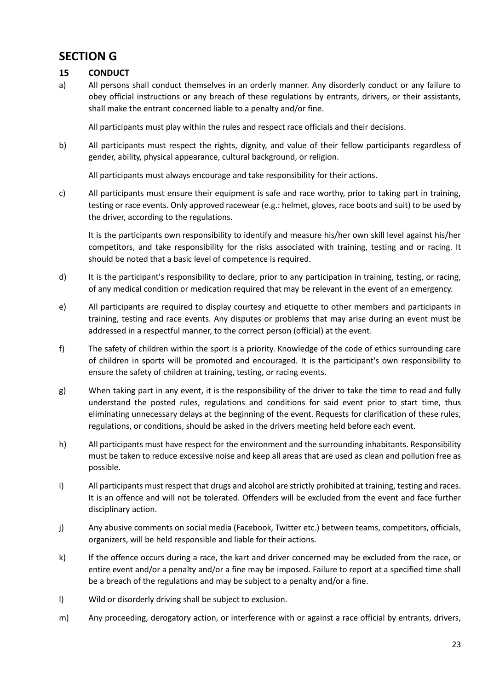## <span id="page-22-0"></span>**SECTION G**

#### <span id="page-22-1"></span>**15 CONDUCT**

a) All persons shall conduct themselves in an orderly manner. Any disorderly conduct or any failure to obey official instructions or any breach of these regulations by entrants, drivers, or their assistants, shall make the entrant concerned liable to a penalty and/or fine.

All participants must play within the rules and respect race officials and their decisions.

b) All participants must respect the rights, dignity, and value of their fellow participants regardless of gender, ability, physical appearance, cultural background, or religion.

All participants must always encourage and take responsibility for their actions.

c) All participants must ensure their equipment is safe and race worthy, prior to taking part in training, testing or race events. Only approved racewear (e.g.: helmet, gloves, race boots and suit) to be used by the driver, according to the regulations.

It is the participants own responsibility to identify and measure his/her own skill level against his/her competitors, and take responsibility for the risks associated with training, testing and or racing. It should be noted that a basic level of competence is required.

- d) It is the participant's responsibility to declare, prior to any participation in training, testing, or racing, of any medical condition or medication required that may be relevant in the event of an emergency.
- e) All participants are required to display courtesy and etiquette to other members and participants in training, testing and race events. Any disputes or problems that may arise during an event must be addressed in a respectful manner, to the correct person (official) at the event.
- f) The safety of children within the sport is a priority. Knowledge of the code of ethics surrounding care of children in sports will be promoted and encouraged. It is the participant's own responsibility to ensure the safety of children at training, testing, or racing events.
- g) When taking part in any event, it is the responsibility of the driver to take the time to read and fully understand the posted rules, regulations and conditions for said event prior to start time, thus eliminating unnecessary delays at the beginning of the event. Requests for clarification of these rules, regulations, or conditions, should be asked in the drivers meeting held before each event.
- h) All participants must have respect for the environment and the surrounding inhabitants. Responsibility must be taken to reduce excessive noise and keep all areas that are used as clean and pollution free as possible.
- i) All participants must respect that drugs and alcohol are strictly prohibited at training, testing and races. It is an offence and will not be tolerated. Offenders will be excluded from the event and face further disciplinary action.
- j) Any abusive comments on social media (Facebook, Twitter etc.) between teams, competitors, officials, organizers, will be held responsible and liable for their actions.
- k) If the offence occurs during a race, the kart and driver concerned may be excluded from the race, or entire event and/or a penalty and/or a fine may be imposed. Failure to report at a specified time shall be a breach of the regulations and may be subject to a penalty and/or a fine.
- l) Wild or disorderly driving shall be subject to exclusion.
- m) Any proceeding, derogatory action, or interference with or against a race official by entrants, drivers,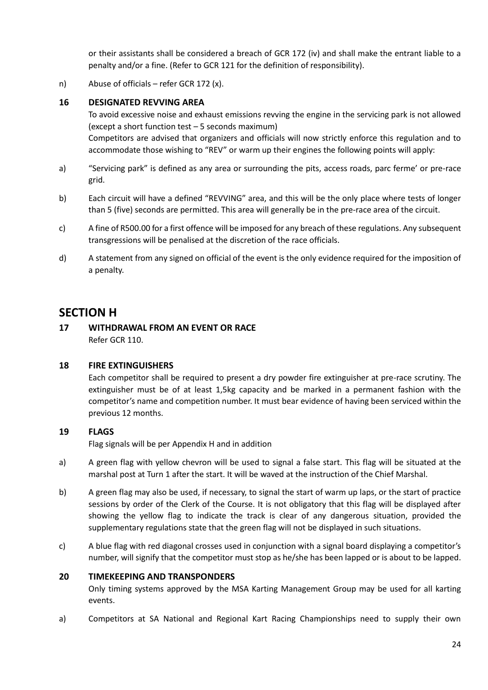or their assistants shall be considered a breach of GCR 172 (iv) and shall make the entrant liable to a penalty and/or a fine. (Refer to GCR 121 for the definition of responsibility).

n) Abuse of officials – refer GCR 172 (x).

#### <span id="page-23-0"></span>**16 DESIGNATED REVVING AREA**

To avoid excessive noise and exhaust emissions revving the engine in the servicing park is not allowed (except a short function test – 5 seconds maximum)

Competitors are advised that organizers and officials will now strictly enforce this regulation and to accommodate those wishing to "REV" or warm up their engines the following points will apply:

- a) "Servicing park" is defined as any area or surrounding the pits, access roads, parc ferme' or pre-race grid.
- b) Each circuit will have a defined "REVVING" area, and this will be the only place where tests of longer than 5 (five) seconds are permitted. This area will generally be in the pre-race area of the circuit.
- c) A fine of R500.00 for a first offence will be imposed for any breach of these regulations. Any subsequent transgressions will be penalised at the discretion of the race officials.
- d) A statement from any signed on official of the event is the only evidence required for the imposition of a penalty.

### <span id="page-23-1"></span>**SECTION H**

#### <span id="page-23-2"></span>**17 WITHDRAWAL FROM AN EVENT OR RACE** Refer GCR 110.

#### <span id="page-23-3"></span>**18 FIRE EXTINGUISHERS**

Each competitor shall be required to present a dry powder fire extinguisher at pre-race scrutiny. The extinguisher must be of at least 1,5kg capacity and be marked in a permanent fashion with the competitor's name and competition number. It must bear evidence of having been serviced within the previous 12 months.

#### <span id="page-23-4"></span>**19 FLAGS**

Flag signals will be per Appendix H and in addition

- a) A green flag with yellow chevron will be used to signal a false start. This flag will be situated at the marshal post at Turn 1 after the start. It will be waved at the instruction of the Chief Marshal.
- b) A green flag may also be used, if necessary, to signal the start of warm up laps, or the start of practice sessions by order of the Clerk of the Course. It is not obligatory that this flag will be displayed after showing the yellow flag to indicate the track is clear of any dangerous situation, provided the supplementary regulations state that the green flag will not be displayed in such situations.
- c) A blue flag with red diagonal crosses used in conjunction with a signal board displaying a competitor's number, will signify that the competitor must stop as he/she has been lapped or is about to be lapped.

#### <span id="page-23-5"></span>**20 TIMEKEEPING AND TRANSPONDERS**

Only timing systems approved by the MSA Karting Management Group may be used for all karting events.

a) Competitors at SA National and Regional Kart Racing Championships need to supply their own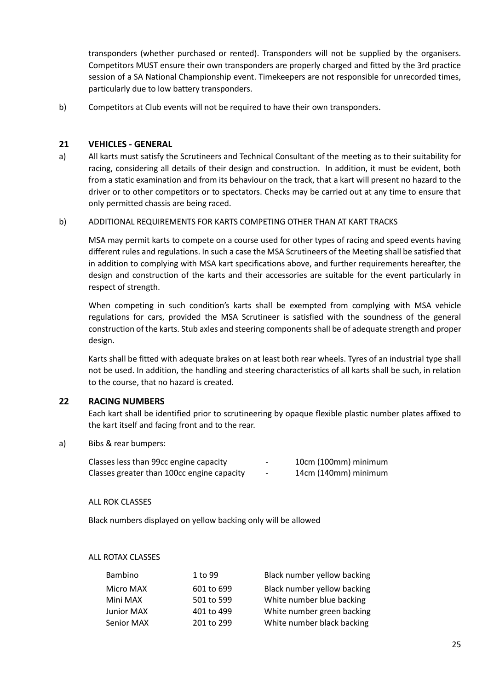transponders (whether purchased or rented). Transponders will not be supplied by the organisers. Competitors MUST ensure their own transponders are properly charged and fitted by the 3rd practice session of a SA National Championship event. Timekeepers are not responsible for unrecorded times, particularly due to low battery transponders.

b) Competitors at Club events will not be required to have their own transponders.

#### <span id="page-24-0"></span>**21 VEHICLES - GENERAL**

a) All karts must satisfy the Scrutineers and Technical Consultant of the meeting as to their suitability for racing, considering all details of their design and construction. In addition, it must be evident, both from a static examination and from its behaviour on the track, that a kart will present no hazard to the driver or to other competitors or to spectators. Checks may be carried out at any time to ensure that only permitted chassis are being raced.

#### b) ADDITIONAL REQUIREMENTS FOR KARTS COMPETING OTHER THAN AT KART TRACKS

MSA may permit karts to compete on a course used for other types of racing and speed events having different rules and regulations. In such a case the MSA Scrutineers of the Meeting shall be satisfied that in addition to complying with MSA kart specifications above, and further requirements hereafter, the design and construction of the karts and their accessories are suitable for the event particularly in respect of strength.

When competing in such condition's karts shall be exempted from complying with MSA vehicle regulations for cars, provided the MSA Scrutineer is satisfied with the soundness of the general construction of the karts. Stub axles and steering components shall be of adequate strength and proper design.

Karts shall be fitted with adequate brakes on at least both rear wheels. Tyres of an industrial type shall not be used. In addition, the handling and steering characteristics of all karts shall be such, in relation to the course, that no hazard is created.

#### <span id="page-24-1"></span>**22 RACING NUMBERS**

Each kart shall be identified prior to scrutineering by opaque flexible plastic number plates affixed to the kart itself and facing front and to the rear.

#### a) Bibs & rear bumpers:

| Classes less than 99cc engine capacity     | - | 10cm (100mm) minimum |
|--------------------------------------------|---|----------------------|
| Classes greater than 100cc engine capacity | - | 14cm (140mm) minimum |

#### ALL ROK CLASSES

Black numbers displayed on yellow backing only will be allowed

#### ALL ROTAX CLASSES

| 1 to 99    | Black number yellow backing |
|------------|-----------------------------|
| 601 to 699 | Black number yellow backing |
| 501 to 599 | White number blue backing   |
| 401 to 499 | White number green backing  |
| 201 to 299 | White number black backing  |
|            |                             |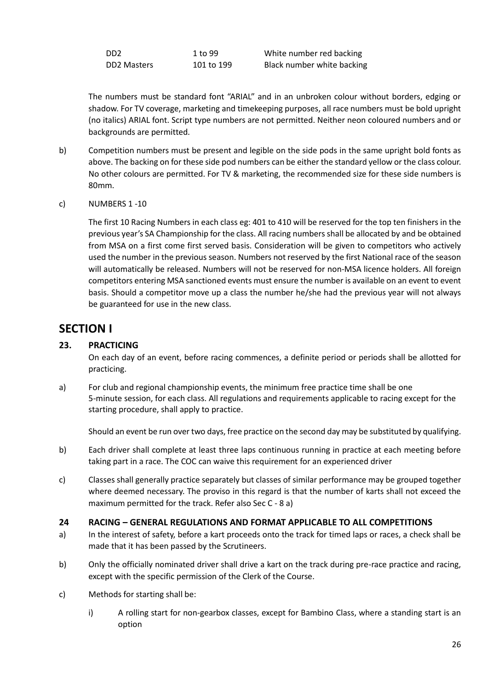| DD <sub>2</sub> | 1 to 99    | White number red backing   |
|-----------------|------------|----------------------------|
| DD2 Masters     | 101 to 199 | Black number white backing |

The numbers must be standard font "ARIAL" and in an unbroken colour without borders, edging or shadow. For TV coverage, marketing and timekeeping purposes, all race numbers must be bold upright (no italics) ARIAL font. Script type numbers are not permitted. Neither neon coloured numbers and or backgrounds are permitted.

- b) Competition numbers must be present and legible on the side pods in the same upright bold fonts as above. The backing on for these side pod numbers can be either the standard yellow or the class colour. No other colours are permitted. For TV & marketing, the recommended size for these side numbers is 80mm.
- c) NUMBERS 1 -10

The first 10 Racing Numbers in each class eg: 401 to 410 will be reserved for the top ten finishers in the previous year's SA Championship for the class. All racing numbers shall be allocated by and be obtained from MSA on a first come first served basis. Consideration will be given to competitors who actively used the number in the previous season. Numbers not reserved by the first National race of the season will automatically be released. Numbers will not be reserved for non-MSA licence holders. All foreign competitors entering MSA sanctioned events must ensure the number is available on an event to event basis. Should a competitor move up a class the number he/she had the previous year will not always be guaranteed for use in the new class.

## <span id="page-25-0"></span>**SECTION I**

#### <span id="page-25-1"></span>**23. PRACTICING**

On each day of an event, before racing commences, a definite period or periods shall be allotted for practicing.

a) For club and regional championship events, the minimum free practice time shall be one 5-minute session, for each class. All regulations and requirements applicable to racing except for the starting procedure, shall apply to practice.

Should an event be run over two days, free practice on the second day may be substituted by qualifying.

- b) Each driver shall complete at least three laps continuous running in practice at each meeting before taking part in a race. The COC can waive this requirement for an experienced driver
- c) Classes shall generally practice separately but classes of similar performance may be grouped together where deemed necessary. The proviso in this regard is that the number of karts shall not exceed the maximum permitted for the track. Refer also Sec C - 8 a)

#### <span id="page-25-2"></span>**24 RACING – GENERAL REGULATIONS AND FORMAT APPLICABLE TO ALL COMPETITIONS**

- a) In the interest of safety, before a kart proceeds onto the track for timed laps or races, a check shall be made that it has been passed by the Scrutineers.
- b) Only the officially nominated driver shall drive a kart on the track during pre-race practice and racing, except with the specific permission of the Clerk of the Course.
- c) Methods for starting shall be:
	- i) A rolling start for non-gearbox classes, except for Bambino Class, where a standing start is an option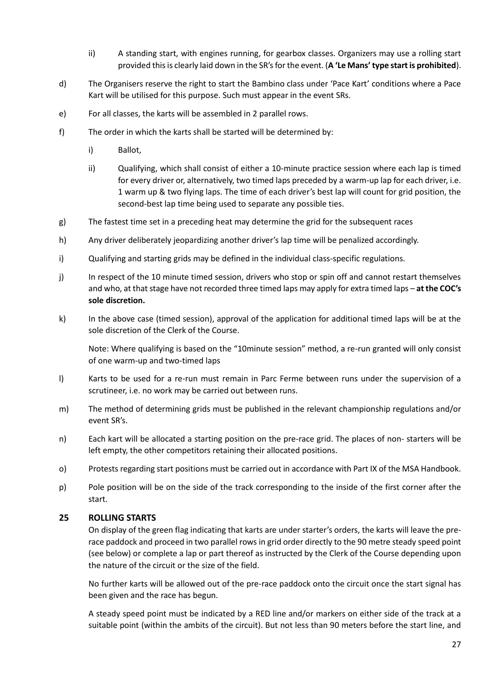- ii) A standing start, with engines running, for gearbox classes. Organizers may use a rolling start provided this is clearly laid down in the SR's for the event. (**A 'Le Mans' type start is prohibited**).
- d) The Organisers reserve the right to start the Bambino class under 'Pace Kart' conditions where a Pace Kart will be utilised for this purpose. Such must appear in the event SRs.
- e) For all classes, the karts will be assembled in 2 parallel rows.
- f) The order in which the karts shall be started will be determined by:
	- i) Ballot,
	- ii) Qualifying, which shall consist of either a 10-minute practice session where each lap is timed for every driver or, alternatively, two timed laps preceded by a warm-up lap for each driver, i.e. 1 warm up & two flying laps. The time of each driver's best lap will count for grid position, the second-best lap time being used to separate any possible ties.
- g) The fastest time set in a preceding heat may determine the grid for the subsequent races
- h) Any driver deliberately jeopardizing another driver's lap time will be penalized accordingly.
- i) Qualifying and starting grids may be defined in the individual class-specific regulations.
- j) In respect of the 10 minute timed session, drivers who stop or spin off and cannot restart themselves and who, at that stage have not recorded three timed laps may apply for extra timed laps – **at the COC's sole discretion.**
- k) In the above case (timed session), approval of the application for additional timed laps will be at the sole discretion of the Clerk of the Course.

Note: Where qualifying is based on the "10minute session" method, a re-run granted will only consist of one warm-up and two-timed laps

- l) Karts to be used for a re-run must remain in Parc Ferme between runs under the supervision of a scrutineer, i.e. no work may be carried out between runs.
- m) The method of determining grids must be published in the relevant championship regulations and/or event SR's.
- n) Each kart will be allocated a starting position on the pre-race grid. The places of non- starters will be left empty, the other competitors retaining their allocated positions.
- o) Protests regarding start positions must be carried out in accordance with Part IX of the MSA Handbook.
- p) Pole position will be on the side of the track corresponding to the inside of the first corner after the start.

#### <span id="page-26-0"></span>**25 ROLLING STARTS**

On display of the green flag indicating that karts are under starter's orders, the karts will leave the prerace paddock and proceed in two parallel rows in grid order directly to the 90 metre steady speed point (see below) or complete a lap or part thereof as instructed by the Clerk of the Course depending upon the nature of the circuit or the size of the field.

No further karts will be allowed out of the pre-race paddock onto the circuit once the start signal has been given and the race has begun.

A steady speed point must be indicated by a RED line and/or markers on either side of the track at a suitable point (within the ambits of the circuit). But not less than 90 meters before the start line, and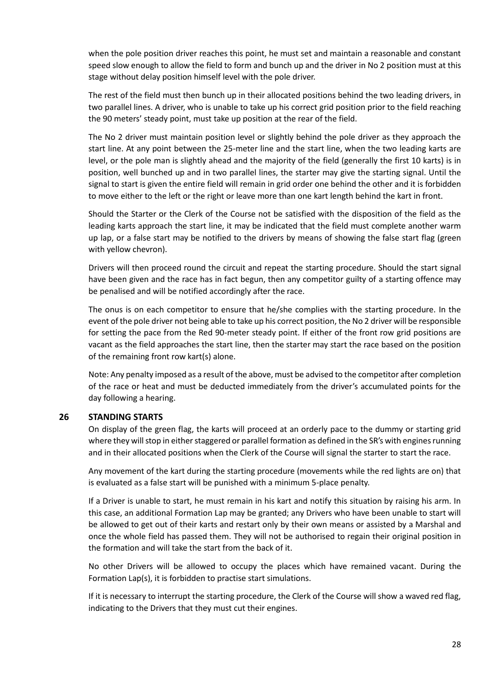when the pole position driver reaches this point, he must set and maintain a reasonable and constant speed slow enough to allow the field to form and bunch up and the driver in No 2 position must at this stage without delay position himself level with the pole driver.

The rest of the field must then bunch up in their allocated positions behind the two leading drivers, in two parallel lines. A driver, who is unable to take up his correct grid position prior to the field reaching the 90 meters' steady point, must take up position at the rear of the field.

The No 2 driver must maintain position level or slightly behind the pole driver as they approach the start line. At any point between the 25-meter line and the start line, when the two leading karts are level, or the pole man is slightly ahead and the majority of the field (generally the first 10 karts) is in position, well bunched up and in two parallel lines, the starter may give the starting signal. Until the signal to start is given the entire field will remain in grid order one behind the other and it is forbidden to move either to the left or the right or leave more than one kart length behind the kart in front.

Should the Starter or the Clerk of the Course not be satisfied with the disposition of the field as the leading karts approach the start line, it may be indicated that the field must complete another warm up lap, or a false start may be notified to the drivers by means of showing the false start flag (green with yellow chevron).

Drivers will then proceed round the circuit and repeat the starting procedure. Should the start signal have been given and the race has in fact begun, then any competitor guilty of a starting offence may be penalised and will be notified accordingly after the race.

The onus is on each competitor to ensure that he/she complies with the starting procedure. In the event of the pole driver not being able to take up his correct position, the No 2 driver will be responsible for setting the pace from the Red 90-meter steady point. If either of the front row grid positions are vacant as the field approaches the start line, then the starter may start the race based on the position of the remaining front row kart(s) alone.

Note: Any penalty imposed as a result of the above, must be advised to the competitor after completion of the race or heat and must be deducted immediately from the driver's accumulated points for the day following a hearing.

#### <span id="page-27-0"></span>**26 STANDING STARTS**

On display of the green flag, the karts will proceed at an orderly pace to the dummy or starting grid where they will stop in either staggered or parallel formation as defined in the SR's with engines running and in their allocated positions when the Clerk of the Course will signal the starter to start the race.

Any movement of the kart during the starting procedure (movements while the red lights are on) that is evaluated as a false start will be punished with a minimum 5-place penalty.

If a Driver is unable to start, he must remain in his kart and notify this situation by raising his arm. In this case, an additional Formation Lap may be granted; any Drivers who have been unable to start will be allowed to get out of their karts and restart only by their own means or assisted by a Marshal and once the whole field has passed them. They will not be authorised to regain their original position in the formation and will take the start from the back of it.

No other Drivers will be allowed to occupy the places which have remained vacant. During the Formation Lap(s), it is forbidden to practise start simulations.

If it is necessary to interrupt the starting procedure, the Clerk of the Course will show a waved red flag, indicating to the Drivers that they must cut their engines.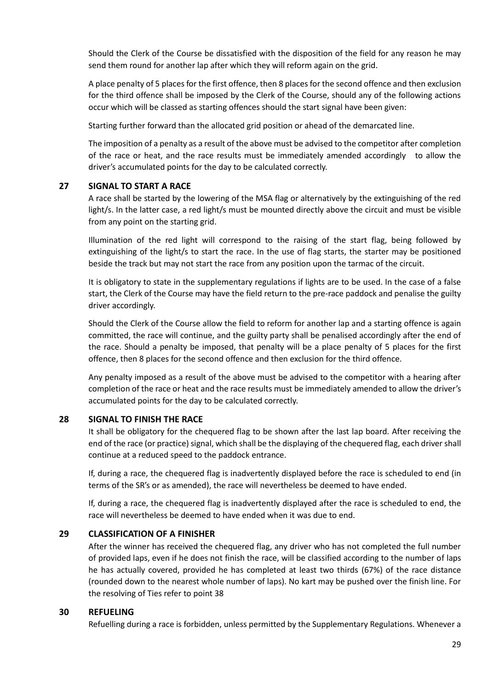Should the Clerk of the Course be dissatisfied with the disposition of the field for any reason he may send them round for another lap after which they will reform again on the grid.

A place penalty of 5 places for the first offence, then 8 places for the second offence and then exclusion for the third offence shall be imposed by the Clerk of the Course, should any of the following actions occur which will be classed as starting offences should the start signal have been given:

Starting further forward than the allocated grid position or ahead of the demarcated line.

The imposition of a penalty as a result of the above must be advised to the competitor after completion of the race or heat, and the race results must be immediately amended accordingly to allow the driver's accumulated points for the day to be calculated correctly.

#### <span id="page-28-0"></span>**27 SIGNAL TO START A RACE**

A race shall be started by the lowering of the MSA flag or alternatively by the extinguishing of the red light/s. In the latter case, a red light/s must be mounted directly above the circuit and must be visible from any point on the starting grid.

Illumination of the red light will correspond to the raising of the start flag, being followed by extinguishing of the light/s to start the race. In the use of flag starts, the starter may be positioned beside the track but may not start the race from any position upon the tarmac of the circuit.

It is obligatory to state in the supplementary regulations if lights are to be used. In the case of a false start, the Clerk of the Course may have the field return to the pre-race paddock and penalise the guilty driver accordingly.

Should the Clerk of the Course allow the field to reform for another lap and a starting offence is again committed, the race will continue, and the guilty party shall be penalised accordingly after the end of the race. Should a penalty be imposed, that penalty will be a place penalty of 5 places for the first offence, then 8 places for the second offence and then exclusion for the third offence.

Any penalty imposed as a result of the above must be advised to the competitor with a hearing after completion of the race or heat and the race results must be immediately amended to allow the driver's accumulated points for the day to be calculated correctly.

#### <span id="page-28-1"></span>**28 SIGNAL TO FINISH THE RACE**

It shall be obligatory for the chequered flag to be shown after the last lap board. After receiving the end of the race (or practice) signal, which shall be the displaying of the chequered flag, each driver shall continue at a reduced speed to the paddock entrance.

If, during a race, the chequered flag is inadvertently displayed before the race is scheduled to end (in terms of the SR's or as amended), the race will nevertheless be deemed to have ended.

If, during a race, the chequered flag is inadvertently displayed after the race is scheduled to end, the race will nevertheless be deemed to have ended when it was due to end.

#### <span id="page-28-2"></span>**29 CLASSIFICATION OF A FINISHER**

After the winner has received the chequered flag, any driver who has not completed the full number of provided laps, even if he does not finish the race, will be classified according to the number of laps he has actually covered, provided he has completed at least two thirds (67%) of the race distance (rounded down to the nearest whole number of laps). No kart may be pushed over the finish line. For the resolving of Ties refer to point 38

#### <span id="page-28-3"></span>**30 REFUELING**

Refuelling during a race is forbidden, unless permitted by the Supplementary Regulations. Whenever a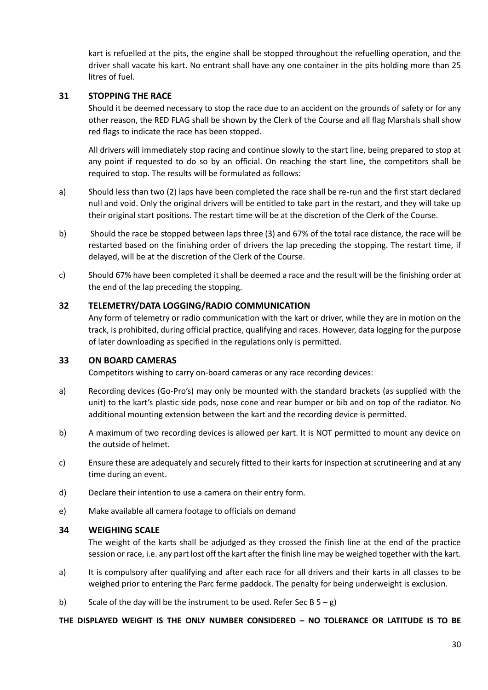kart is refuelled at the pits, the engine shall be stopped throughout the refuelling operation, and the driver shall vacate his kart. No entrant shall have any one container in the pits holding more than 25 litres of fuel.

#### <span id="page-29-0"></span>**31 STOPPING THE RACE**

Should it be deemed necessary to stop the race due to an accident on the grounds of safety or for any other reason, the RED FLAG shall be shown by the Clerk of the Course and all flag Marshals shall show red flags to indicate the race has been stopped.

All drivers will immediately stop racing and continue slowly to the start line, being prepared to stop at any point if requested to do so by an official. On reaching the start line, the competitors shall be required to stop. The results will be formulated as follows:

- a) Should less than two (2) laps have been completed the race shall be re-run and the first start declared null and void. Only the original drivers will be entitled to take part in the restart, and they will take up their original start positions. The restart time will be at the discretion of the Clerk of the Course.
- b) Should the race be stopped between laps three (3) and 67% of the total race distance, the race will be restarted based on the finishing order of drivers the lap preceding the stopping. The restart time, if delayed, will be at the discretion of the Clerk of the Course.
- c) Should 67% have been completed it shall be deemed a race and the result will be the finishing order at the end of the lap preceding the stopping.

#### <span id="page-29-1"></span>**32 TELEMETRY/DATA LOGGING/RADIO COMMUNICATION**

Any form of telemetry or radio communication with the kart or driver, while they are in motion on the track, is prohibited, during official practice, qualifying and races. However, data logging for the purpose of later downloading as specified in the regulations only is permitted.

#### <span id="page-29-2"></span>**33 ON BOARD CAMERAS**

Competitors wishing to carry on-board cameras or any race recording devices:

- a) Recording devices (Go-Pro's) may only be mounted with the standard brackets (as supplied with the unit) to the kart's plastic side pods, nose cone and rear bumper or bib and on top of the radiator. No additional mounting extension between the kart and the recording device is permitted.
- b) A maximum of two recording devices is allowed per kart. It is NOT permitted to mount any device on the outside of helmet.
- c) Ensure these are adequately and securely fitted to their karts for inspection at scrutineering and at any time during an event.
- d) Declare their intention to use a camera on their entry form.
- e) Make available all camera footage to officials on demand

#### <span id="page-29-3"></span>**34 WEIGHING SCALE**

The weight of the karts shall be adjudged as they crossed the finish line at the end of the practice session or race, i.e. any part lost off the kart after the finish line may be weighed together with the kart.

- a) It is compulsory after qualifying and after each race for all drivers and their karts in all classes to be weighed prior to entering the Parc ferme paddock. The penalty for being underweight is exclusion.
- b) Scale of the day will be the instrument to be used. Refer Sec B  $5 g$ )

#### **THE DISPLAYED WEIGHT IS THE ONLY NUMBER CONSIDERED – NO TOLERANCE OR LATITUDE IS TO BE**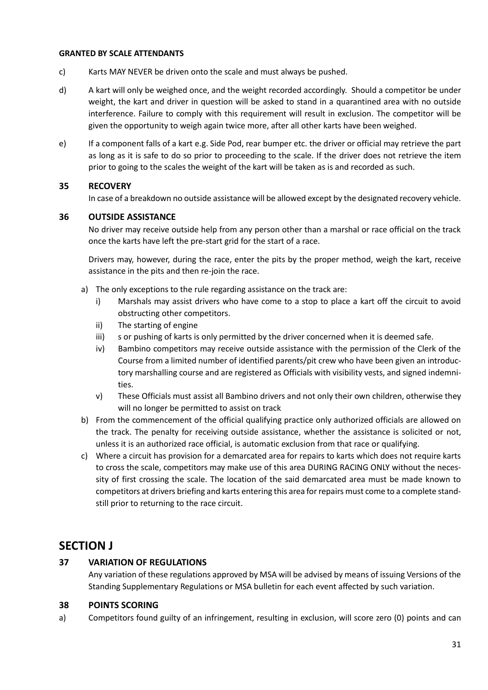#### **GRANTED BY SCALE ATTENDANTS**

- c) Karts MAY NEVER be driven onto the scale and must always be pushed.
- d) A kart will only be weighed once, and the weight recorded accordingly. Should a competitor be under weight, the kart and driver in question will be asked to stand in a quarantined area with no outside interference. Failure to comply with this requirement will result in exclusion. The competitor will be given the opportunity to weigh again twice more, after all other karts have been weighed.
- e) If a component falls of a kart e.g. Side Pod, rear bumper etc. the driver or official may retrieve the part as long as it is safe to do so prior to proceeding to the scale. If the driver does not retrieve the item prior to going to the scales the weight of the kart will be taken as is and recorded as such.

#### <span id="page-30-0"></span>**35 RECOVERY**

In case of a breakdown no outside assistance will be allowed except by the designated recovery vehicle.

#### <span id="page-30-1"></span>**36 OUTSIDE ASSISTANCE**

No driver may receive outside help from any person other than a marshal or race official on the track once the karts have left the pre-start grid for the start of a race.

Drivers may, however, during the race, enter the pits by the proper method, weigh the kart, receive assistance in the pits and then re-join the race.

- a) The only exceptions to the rule regarding assistance on the track are:
	- i) Marshals may assist drivers who have come to a stop to place a kart off the circuit to avoid obstructing other competitors.
	- ii) The starting of engine
	- iii) s or pushing of karts is only permitted by the driver concerned when it is deemed safe.
	- iv) Bambino competitors may receive outside assistance with the permission of the Clerk of the Course from a limited number of identified parents/pit crew who have been given an introductory marshalling course and are registered as Officials with visibility vests, and signed indemnities.
	- v) These Officials must assist all Bambino drivers and not only their own children, otherwise they will no longer be permitted to assist on track
- b) From the commencement of the official qualifying practice only authorized officials are allowed on the track. The penalty for receiving outside assistance, whether the assistance is solicited or not, unless it is an authorized race official, is automatic exclusion from that race or qualifying.
- c) Where a circuit has provision for a demarcated area for repairs to karts which does not require karts to cross the scale, competitors may make use of this area DURING RACING ONLY without the necessity of first crossing the scale. The location of the said demarcated area must be made known to competitors at drivers briefing and karts entering this area for repairs must come to a complete standstill prior to returning to the race circuit.

## <span id="page-30-2"></span>**SECTION J**

#### <span id="page-30-3"></span>**37 VARIATION OF REGULATIONS**

Any variation of these regulations approved by MSA will be advised by means of issuing Versions of the Standing Supplementary Regulations or MSA bulletin for each event affected by such variation.

#### <span id="page-30-4"></span>**38 POINTS SCORING**

a) Competitors found guilty of an infringement, resulting in exclusion, will score zero (0) points and can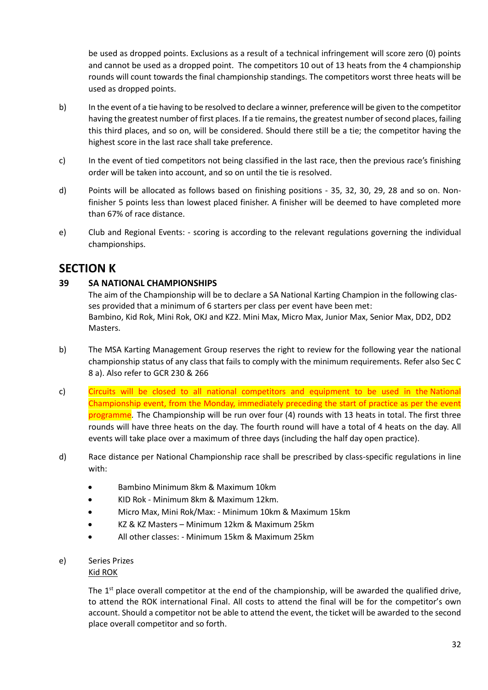be used as dropped points. Exclusions as a result of a technical infringement will score zero (0) points and cannot be used as a dropped point. The competitors 10 out of 13 heats from the 4 championship rounds will count towards the final championship standings. The competitors worst three heats will be used as dropped points.

- b) In the event of a tie having to be resolved to declare a winner, preference will be given to the competitor having the greatest number of first places. If a tie remains, the greatest number of second places, failing this third places, and so on, will be considered. Should there still be a tie; the competitor having the highest score in the last race shall take preference.
- c) In the event of tied competitors not being classified in the last race, then the previous race's finishing order will be taken into account, and so on until the tie is resolved.
- d) Points will be allocated as follows based on finishing positions 35, 32, 30, 29, 28 and so on. Nonfinisher 5 points less than lowest placed finisher. A finisher will be deemed to have completed more than 67% of race distance.
- e) Club and Regional Events: scoring is according to the relevant regulations governing the individual championships.

## <span id="page-31-0"></span>**SECTION K**

#### <span id="page-31-1"></span>**39 SA NATIONAL CHAMPIONSHIPS**

The aim of the Championship will be to declare a SA National Karting Champion in the following classes provided that a minimum of 6 starters per class per event have been met: Bambino, Kid Rok, Mini Rok, OKJ and KZ2. Mini Max, Micro Max, Junior Max, Senior Max, DD2, DD2 Masters.

- b) The MSA Karting Management Group reserves the right to review for the following year the national championship status of any class that fails to comply with the minimum requirements. Refer also Sec C 8 a). Also refer to GCR 230 & 266
- c) Circuits will be closed to all national competitors and equipment to be used in the National Championship event, from the Monday, immediately preceding the start of practice as per the event programme*.* The Championship will be run over four (4) rounds with 13 heats in total. The first three rounds will have three heats on the day. The fourth round will have a total of 4 heats on the day. All events will take place over a maximum of three days (including the half day open practice).
- d) Race distance per National Championship race shall be prescribed by class-specific regulations in line with:
	- Bambino Minimum 8km & Maximum 10km
	- KID Rok Minimum 8km & Maximum 12km.
	- Micro Max, Mini Rok/Max: Minimum 10km & Maximum 15km
	- KZ & KZ Masters Minimum 12km & Maximum 25km
	- All other classes: Minimum 15km & Maximum 25km
- e) Series Prizes Kid ROK

The  $1<sup>st</sup>$  place overall competitor at the end of the championship, will be awarded the qualified drive, to attend the ROK international Final. All costs to attend the final will be for the competitor's own account. Should a competitor not be able to attend the event, the ticket will be awarded to the second place overall competitor and so forth.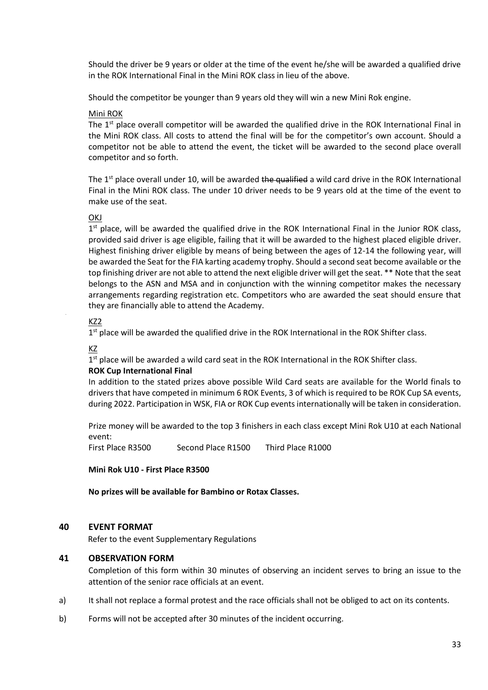Should the driver be 9 years or older at the time of the event he/she will be awarded a qualified drive in the ROK International Final in the Mini ROK class in lieu of the above.

Should the competitor be younger than 9 years old they will win a new Mini Rok engine.

#### Mini ROK

The  $1<sup>st</sup>$  place overall competitor will be awarded the qualified drive in the ROK International Final in the Mini ROK class. All costs to attend the final will be for the competitor's own account. Should a competitor not be able to attend the event, the ticket will be awarded to the second place overall competitor and so forth.

The 1<sup>st</sup> place overall under 10, will be awarded the qualified a wild card drive in the ROK International Final in the Mini ROK class. The under 10 driver needs to be 9 years old at the time of the event to make use of the seat.

#### **OKJ**

1<sup>st</sup> place, will be awarded the qualified drive in the ROK International Final in the Junior ROK class, provided said driver is age eligible, failing that it will be awarded to the highest placed eligible driver. Highest finishing driver eligible by means of being between the ages of 12-14 the following year, will be awarded the Seat for the FIA karting academy trophy. Should a second seat become available or the top finishing driver are not able to attend the next eligible driver will get the seat. \*\* Note that the seat belongs to the ASN and MSA and in conjunction with the winning competitor makes the necessary arrangements regarding registration etc. Competitors who are awarded the seat should ensure that they are financially able to attend the Academy.

KZ2

1<sup>st</sup> place will be awarded the qualified drive in the ROK International in the ROK Shifter class.

KZ

1<sup>st</sup> place will be awarded a wild card seat in the ROK International in the ROK Shifter class.

#### **ROK Cup International Final**

In addition to the stated prizes above possible Wild Card seats are available for the World finals to drivers that have competed in minimum 6 ROK Events, 3 of which is required to be ROK Cup SA events, during 2022. Participation in WSK, FIA or ROK Cup events internationally will be taken in consideration.

Prize money will be awarded to the top 3 finishers in each class except Mini Rok U10 at each National event:

First Place R3500 Second Place R1500 Third Place R1000

**Mini Rok U10 - First Place R3500**

**No prizes will be available for Bambino or Rotax Classes.** 

#### <span id="page-32-0"></span>**40 EVENT FORMAT**

Refer to the event Supplementary Regulations

#### <span id="page-32-1"></span>**41 OBSERVATION FORM**

Completion of this form within 30 minutes of observing an incident serves to bring an issue to the attention of the senior race officials at an event.

- a) It shall not replace a formal protest and the race officials shall not be obliged to act on its contents.
- b) Forms will not be accepted after 30 minutes of the incident occurring.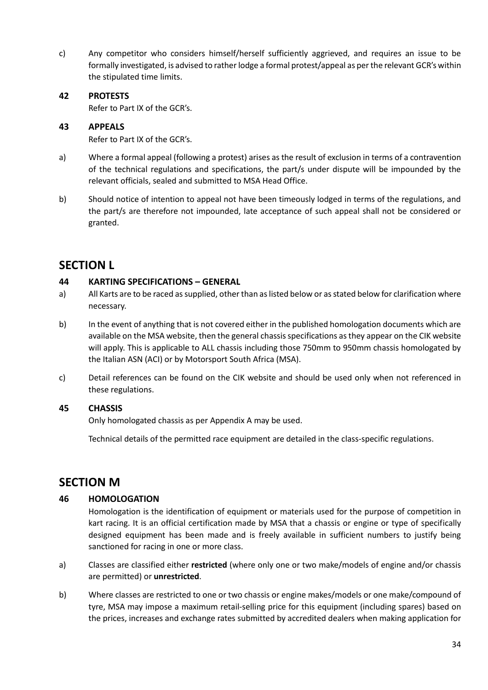c) Any competitor who considers himself/herself sufficiently aggrieved, and requires an issue to be formally investigated, is advised to rather lodge a formal protest/appeal as per the relevant GCR's within the stipulated time limits.

#### <span id="page-33-0"></span>**42 PROTESTS**

Refer to Part IX of the GCR's.

#### <span id="page-33-1"></span>**43 APPEALS**

Refer to Part IX of the GCR's.

- a) Where a formal appeal (following a protest) arises as the result of exclusion in terms of a contravention of the technical regulations and specifications, the part/s under dispute will be impounded by the relevant officials, sealed and submitted to MSA Head Office.
- b) Should notice of intention to appeal not have been timeously lodged in terms of the regulations, and the part/s are therefore not impounded, late acceptance of such appeal shall not be considered or granted.

## <span id="page-33-2"></span>**SECTION L**

#### <span id="page-33-3"></span>**44 KARTING SPECIFICATIONS – GENERAL**

- a) All Karts are to be raced as supplied, other than as listed below or as stated below for clarification where necessary.
- b) In the event of anything that is not covered either in the published homologation documents which are available on the MSA website, then the general chassis specifications as they appear on the CIK website will apply. This is applicable to ALL chassis including those 750mm to 950mm chassis homologated by the Italian ASN (ACI) or by Motorsport South Africa (MSA).
- c) Detail references can be found on the CIK website and should be used only when not referenced in these regulations.

#### <span id="page-33-4"></span>**45 CHASSIS**

Only homologated chassis as per Appendix A may be used.

Technical details of the permitted race equipment are detailed in the class-specific regulations.

## <span id="page-33-5"></span>**SECTION M**

#### <span id="page-33-6"></span>**46 HOMOLOGATION**

Homologation is the identification of equipment or materials used for the purpose of competition in kart racing. It is an official certification made by MSA that a chassis or engine or type of specifically designed equipment has been made and is freely available in sufficient numbers to justify being sanctioned for racing in one or more class.

- a) Classes are classified either **restricted** (where only one or two make/models of engine and/or chassis are permitted) or **unrestricted**.
- b) Where classes are restricted to one or two chassis or engine makes/models or one make/compound of tyre, MSA may impose a maximum retail-selling price for this equipment (including spares) based on the prices, increases and exchange rates submitted by accredited dealers when making application for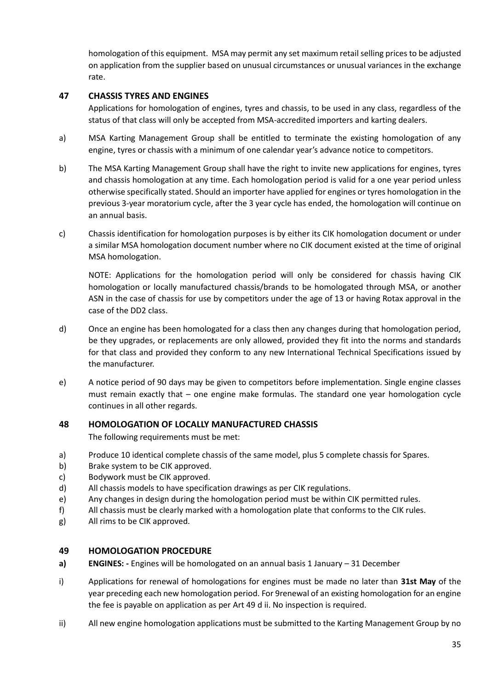homologation of this equipment. MSA may permit any set maximum retail selling prices to be adjusted on application from the supplier based on unusual circumstances or unusual variances in the exchange rate.

#### <span id="page-34-0"></span>**47 CHASSIS TYRES AND ENGINES**

Applications for homologation of engines, tyres and chassis, to be used in any class, regardless of the status of that class will only be accepted from MSA-accredited importers and karting dealers.

- a) MSA Karting Management Group shall be entitled to terminate the existing homologation of any engine, tyres or chassis with a minimum of one calendar year's advance notice to competitors.
- b) The MSA Karting Management Group shall have the right to invite new applications for engines, tyres and chassis homologation at any time. Each homologation period is valid for a one year period unless otherwise specifically stated. Should an importer have applied for engines or tyres homologation in the previous 3-year moratorium cycle, after the 3 year cycle has ended, the homologation will continue on an annual basis.
- c) Chassis identification for homologation purposes is by either its CIK homologation document or under a similar MSA homologation document number where no CIK document existed at the time of original MSA homologation.

NOTE: Applications for the homologation period will only be considered for chassis having CIK homologation or locally manufactured chassis/brands to be homologated through MSA, or another ASN in the case of chassis for use by competitors under the age of 13 or having Rotax approval in the case of the DD2 class.

- d) Once an engine has been homologated for a class then any changes during that homologation period, be they upgrades, or replacements are only allowed, provided they fit into the norms and standards for that class and provided they conform to any new International Technical Specifications issued by the manufacturer.
- e) A notice period of 90 days may be given to competitors before implementation. Single engine classes must remain exactly that – one engine make formulas. The standard one year homologation cycle continues in all other regards.

#### <span id="page-34-1"></span>**48 HOMOLOGATION OF LOCALLY MANUFACTURED CHASSIS**

The following requirements must be met:

- a) Produce 10 identical complete chassis of the same model, plus 5 complete chassis for Spares.
- b) Brake system to be CIK approved.
- c) Bodywork must be CIK approved.
- d) All chassis models to have specification drawings as per CIK regulations.
- e) Any changes in design during the homologation period must be within CIK permitted rules.
- f) All chassis must be clearly marked with a homologation plate that conforms to the CIK rules.
- g) All rims to be CIK approved.

#### <span id="page-34-2"></span>**49 HOMOLOGATION PROCEDURE**

- **a) ENGINES: -** Engines will be homologated on an annual basis 1 January 31 December
- i) Applications for renewal of homologations for engines must be made no later than **31st May** of the year preceding each new homologation period. For 9renewal of an existing homologation for an engine the fee is payable on application as per Art 49 d ii. No inspection is required.
- ii) All new engine homologation applications must be submitted to the Karting Management Group by no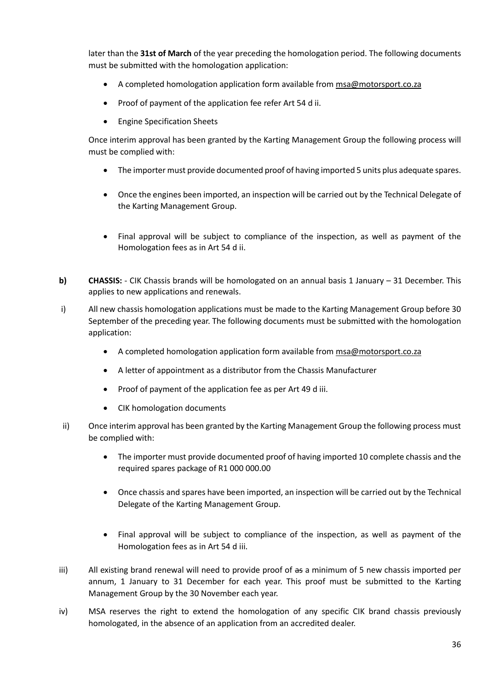later than the **31st of March** of the year preceding the homologation period. The following documents must be submitted with the homologation application:

- A completed homologation application form available fro[m msa@motorsport.co.za](mailto:msa@motorsport.co.za)
- Proof of payment of the application fee refer Art 54 d ii.
- Engine Specification Sheets

Once interim approval has been granted by the Karting Management Group the following process will must be complied with:

- The importer must provide documented proof of having imported 5 units plus adequate spares.
- Once the engines been imported, an inspection will be carried out by the Technical Delegate of the Karting Management Group.
- Final approval will be subject to compliance of the inspection, as well as payment of the Homologation fees as in Art 54 d ii.
- **b) CHASSIS:** CIK Chassis brands will be homologated on an annual basis 1 January 31 December. This applies to new applications and renewals.
- i) All new chassis homologation applications must be made to the Karting Management Group before 30 September of the preceding year. The following documents must be submitted with the homologation application:
	- A completed homologation application form available fro[m msa@motorsport.co.za](mailto:msa@motorsport.co.za)
	- A letter of appointment as a distributor from the Chassis Manufacturer
	- Proof of payment of the application fee as per Art 49 d iii.
	- CIK homologation documents
- ii) Once interim approval has been granted by the Karting Management Group the following process must be complied with:
	- The importer must provide documented proof of having imported 10 complete chassis and the required spares package of R1 000 000.00
	- Once chassis and spares have been imported, an inspection will be carried out by the Technical Delegate of the Karting Management Group.
	- Final approval will be subject to compliance of the inspection, as well as payment of the Homologation fees as in Art 54 d iii.
- iii) All existing brand renewal will need to provide proof of as a minimum of 5 new chassis imported per annum, 1 January to 31 December for each year. This proof must be submitted to the Karting Management Group by the 30 November each year.
- iv) MSA reserves the right to extend the homologation of any specific CIK brand chassis previously homologated, in the absence of an application from an accredited dealer.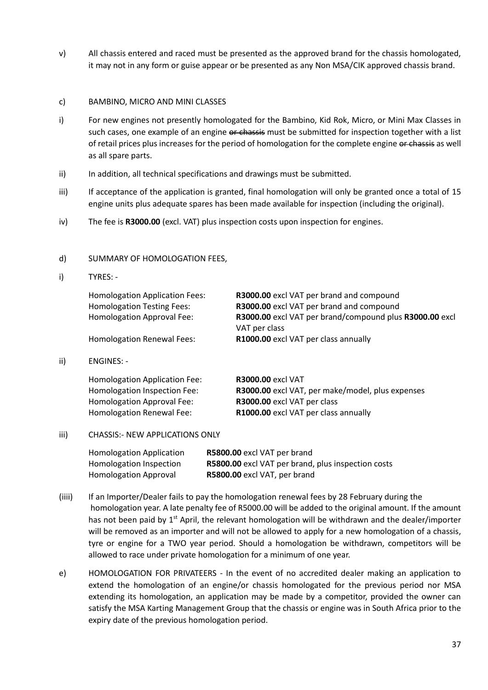- v) All chassis entered and raced must be presented as the approved brand for the chassis homologated, it may not in any form or guise appear or be presented as any Non MSA/CIK approved chassis brand.
- c) BAMBINO, MICRO AND MINI CLASSES
- i) For new engines not presently homologated for the Bambino, Kid Rok, Micro, or Mini Max Classes in such cases, one example of an engine or chassis must be submitted for inspection together with a list of retail prices plus increases for the period of homologation for the complete engine or chassis as well as all spare parts.
- ii) In addition, all technical specifications and drawings must be submitted.
- iii) If acceptance of the application is granted, final homologation will only be granted once a total of 15 engine units plus adequate spares has been made available for inspection (including the original).
- iv) The fee is **R3000.00** (excl. VAT) plus inspection costs upon inspection for engines.
- d) SUMMARY OF HOMOLOGATION FEES,
- i) TYRES: -

| <b>Homologation Application Fees:</b> | R3000.00 excl VAT per brand and compound                |
|---------------------------------------|---------------------------------------------------------|
| <b>Homologation Testing Fees:</b>     | R3000.00 excl VAT per brand and compound                |
| <b>Homologation Approval Fee:</b>     | R3000.00 excl VAT per brand/compound plus R3000.00 excl |
|                                       | VAT per class                                           |
| <b>Homologation Renewal Fees:</b>     | R1000.00 excl VAT per class annually                    |

ii) ENGINES: -

Homologation Application Fee: **R3000.00** excl VAT Homologation Inspection Fee: **R3000.00** excl VAT, per make/model, plus expenses Homologation Approval Fee: **R3000.00** excl VAT per class Homologation Renewal Fee: **R1000.00** excl VAT per class annually

iii) CHASSIS:- NEW APPLICATIONS ONLY

| <b>Homologation Application</b> | R5800.00 excl VAT per brand                        |
|---------------------------------|----------------------------------------------------|
| Homologation Inspection         | R5800.00 excl VAT per brand, plus inspection costs |
| <b>Homologation Approval</b>    | R5800.00 excl VAT, per brand                       |

- (iiii) If an Importer/Dealer fails to pay the homologation renewal fees by 28 February during the homologation year. A late penalty fee of R5000.00 will be added to the original amount. If the amount has not been paid by  $1<sup>st</sup>$  April, the relevant homologation will be withdrawn and the dealer/importer will be removed as an importer and will not be allowed to apply for a new homologation of a chassis, tyre or engine for a TWO year period. Should a homologation be withdrawn, competitors will be allowed to race under private homologation for a minimum of one year.
- e) HOMOLOGATION FOR PRIVATEERS In the event of no accredited dealer making an application to extend the homologation of an engine/or chassis homologated for the previous period nor MSA extending its homologation, an application may be made by a competitor, provided the owner can satisfy the MSA Karting Management Group that the chassis or engine was in South Africa prior to the expiry date of the previous homologation period.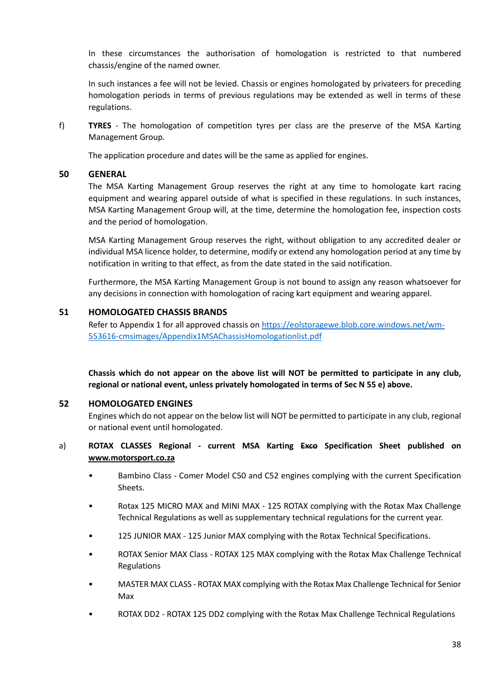In these circumstances the authorisation of homologation is restricted to that numbered chassis/engine of the named owner.

In such instances a fee will not be levied. Chassis or engines homologated by privateers for preceding homologation periods in terms of previous regulations may be extended as well in terms of these regulations.

f) **TYRES** - The homologation of competition tyres per class are the preserve of the MSA Karting Management Group.

The application procedure and dates will be the same as applied for engines.

#### <span id="page-37-0"></span>**50 GENERAL**

The MSA Karting Management Group reserves the right at any time to homologate kart racing equipment and wearing apparel outside of what is specified in these regulations. In such instances, MSA Karting Management Group will, at the time, determine the homologation fee, inspection costs and the period of homologation.

MSA Karting Management Group reserves the right, without obligation to any accredited dealer or individual MSA licence holder, to determine, modify or extend any homologation period at any time by notification in writing to that effect, as from the date stated in the said notification.

Furthermore, the MSA Karting Management Group is not bound to assign any reason whatsoever for any decisions in connection with homologation of racing kart equipment and wearing apparel.

#### <span id="page-37-1"></span>**51 HOMOLOGATED CHASSIS BRANDS**

Refer to Appendix 1 for all approved chassis on [https://eolstoragewe.blob.core.windows.net/wm-](https://eolstoragewe.blob.core.windows.net/wm-553616-cmsimages/Appendix1MSAChassisHomologationlist.pdf)[553616-cmsimages/Appendix1MSAChassisHomologationlist.pdf](https://eolstoragewe.blob.core.windows.net/wm-553616-cmsimages/Appendix1MSAChassisHomologationlist.pdf)

**Chassis which do not appear on the above list will NOT be permitted to participate in any club, regional or national event, unless privately homologated in terms of Sec N 55 e) above.** 

#### <span id="page-37-2"></span>**52 HOMOLOGATED ENGINES**

Engines which do not appear on the below list will NOT be permitted to participate in any club, regional or national event until homologated.

#### a) **ROTAX CLASSES Regional - current MSA Karting Exco Specification Sheet published on www.motorsport.co.za**

- Bambino Class Comer Model C50 and C52 engines complying with the current Specification Sheets.
- Rotax 125 MICRO MAX and MINI MAX 125 ROTAX complying with the Rotax Max Challenge Technical Regulations as well as supplementary technical regulations for the current year.
- 125 JUNIOR MAX 125 Junior MAX complying with the Rotax Technical Specifications.
- ROTAX Senior MAX Class ROTAX 125 MAX complying with the Rotax Max Challenge Technical Regulations
- MASTER MAX CLASS ROTAX MAX complying with the Rotax Max Challenge Technical for Senior Max
- ROTAX DD2 ROTAX 125 DD2 complying with the Rotax Max Challenge Technical Regulations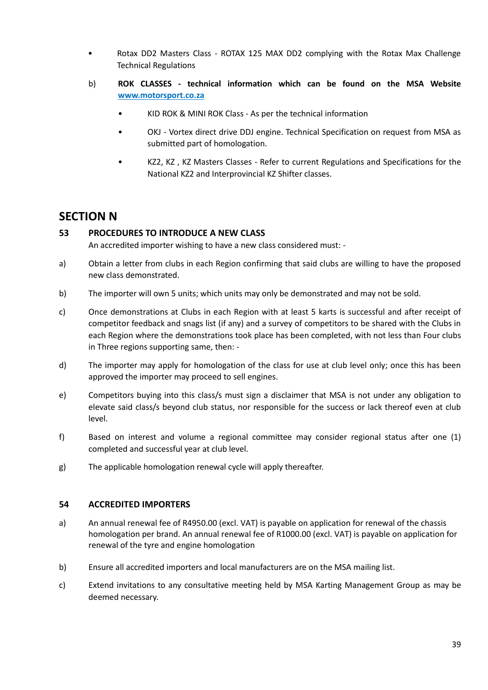- Rotax DD2 Masters Class ROTAX 125 MAX DD2 complying with the Rotax Max Challenge Technical Regulations
- b) **ROK CLASSES - technical information which can be found on the MSA Website www.motorsport.co.za** 
	- KID ROK & MINI ROK Class As per the technical information
	- OKJ Vortex direct drive DDJ engine. Technical Specification on request from MSA as submitted part of homologation.
	- KZ2, KZ , KZ Masters Classes Refer to current Regulations and Specifications for the National KZ2 and Interprovincial KZ Shifter classes.

## <span id="page-38-0"></span>**SECTION N**

#### <span id="page-38-1"></span>**53 PROCEDURES TO INTRODUCE A NEW CLASS**

An accredited importer wishing to have a new class considered must: -

- a) Obtain a letter from clubs in each Region confirming that said clubs are willing to have the proposed new class demonstrated.
- b) The importer will own 5 units; which units may only be demonstrated and may not be sold.
- c) Once demonstrations at Clubs in each Region with at least 5 karts is successful and after receipt of competitor feedback and snags list (if any) and a survey of competitors to be shared with the Clubs in each Region where the demonstrations took place has been completed, with not less than Four clubs in Three regions supporting same, then: -
- d) The importer may apply for homologation of the class for use at club level only; once this has been approved the importer may proceed to sell engines.
- e) Competitors buying into this class/s must sign a disclaimer that MSA is not under any obligation to elevate said class/s beyond club status, nor responsible for the success or lack thereof even at club level.
- f) Based on interest and volume a regional committee may consider regional status after one (1) completed and successful year at club level.
- g) The applicable homologation renewal cycle will apply thereafter.

#### <span id="page-38-2"></span>**54 ACCREDITED IMPORTERS**

- a) An annual renewal fee of R4950.00 (excl. VAT) is payable on application for renewal of the chassis homologation per brand. An annual renewal fee of R1000.00 (excl. VAT) is payable on application for renewal of the tyre and engine homologation
- b) Ensure all accredited importers and local manufacturers are on the MSA mailing list.
- c) Extend invitations to any consultative meeting held by MSA Karting Management Group as may be deemed necessary.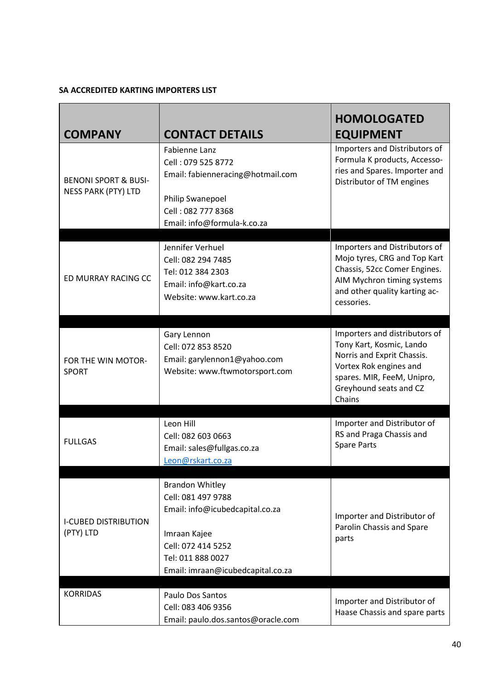#### **SA ACCREDITED KARTING IMPORTERS LIST**

| <b>COMPANY</b>                                                | <b>CONTACT DETAILS</b>                                                                                                                                                          | <b>HOMOLOGATED</b><br><b>EQUIPMENT</b>                                                                                                                                              |
|---------------------------------------------------------------|---------------------------------------------------------------------------------------------------------------------------------------------------------------------------------|-------------------------------------------------------------------------------------------------------------------------------------------------------------------------------------|
| <b>BENONI SPORT &amp; BUSI-</b><br><b>NESS PARK (PTY) LTD</b> | <b>Fabienne Lanz</b><br>Cell: 079 525 8772<br>Email: fabienneracing@hotmail.com<br><b>Philip Swanepoel</b><br>Cell: 082 777 8368<br>Email: info@formula-k.co.za                 | Importers and Distributors of<br>Formula K products, Accesso-<br>ries and Spares. Importer and<br>Distributor of TM engines                                                         |
| ED MURRAY RACING CC                                           | Jennifer Verhuel<br>Cell: 082 294 7485<br>Tel: 012 384 2303<br>Email: info@kart.co.za<br>Website: www.kart.co.za                                                                | Importers and Distributors of<br>Mojo tyres, CRG and Top Kart<br>Chassis, 52cc Comer Engines.<br>AIM Mychron timing systems<br>and other quality karting ac-<br>cessories.          |
| FOR THE WIN MOTOR-<br><b>SPORT</b>                            | Gary Lennon<br>Cell: 072 853 8520<br>Email: garylennon1@yahoo.com<br>Website: www.ftwmotorsport.com                                                                             | Importers and distributors of<br>Tony Kart, Kosmic, Lando<br>Norris and Exprit Chassis.<br>Vortex Rok engines and<br>spares. MIR, FeeM, Unipro,<br>Greyhound seats and CZ<br>Chains |
| <b>FULLGAS</b>                                                | Leon Hill<br>Cell: 082 603 0663<br>Email: sales@fullgas.co.za<br>Leon@rskart.co.za                                                                                              | Importer and Distributor of<br>RS and Praga Chassis and<br><b>Spare Parts</b>                                                                                                       |
| <b>I-CUBED DISTRIBUTION</b><br>(PTY) LTD                      | <b>Brandon Whitley</b><br>Cell: 081 497 9788<br>Email: info@icubedcapital.co.za<br>Imraan Kajee<br>Cell: 072 414 5252<br>Tel: 011 888 0027<br>Email: imraan@icubedcapital.co.za | Importer and Distributor of<br>Parolin Chassis and Spare<br>parts                                                                                                                   |
| <b>KORRIDAS</b>                                               | Paulo Dos Santos<br>Cell: 083 406 9356<br>Email: paulo.dos.santos@oracle.com                                                                                                    | Importer and Distributor of<br>Haase Chassis and spare parts                                                                                                                        |